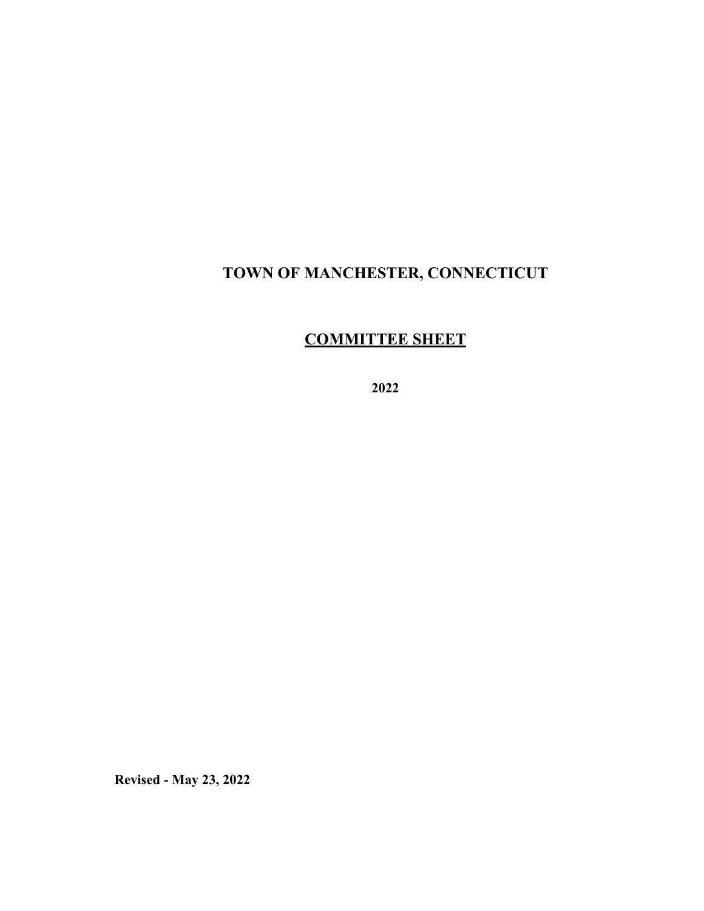## **TOWN OF MANCHESTER, CONNECTICUT**

# **COMMITTEE SHEET**

**2022** 

**Revised - May 23, 2022**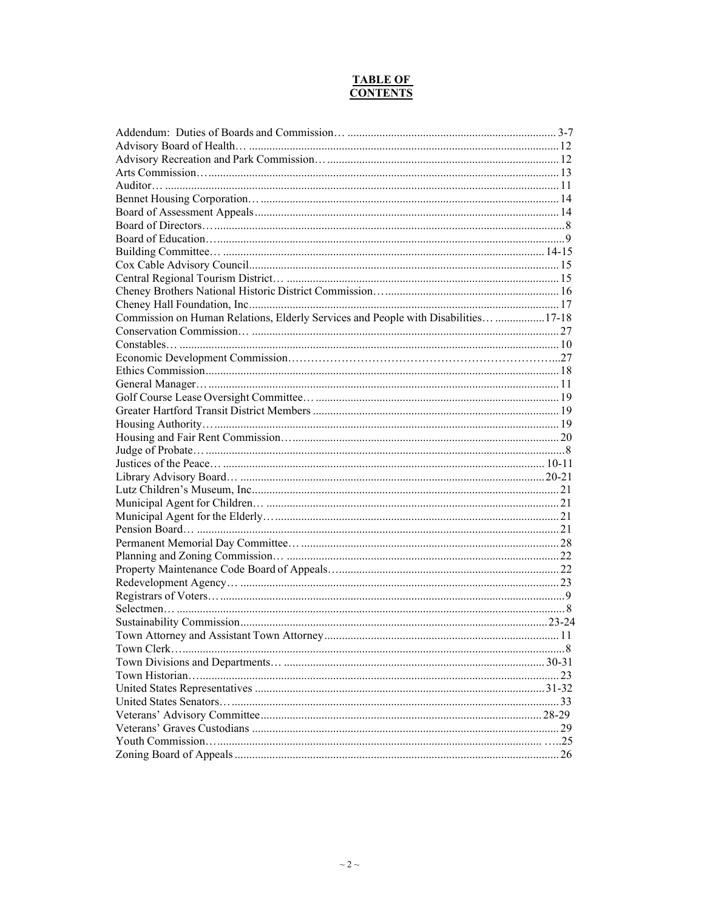#### **TABLE OF CONTENTS**

| Commission on Human Relations, Elderly Services and People with Disabilities 17-18 |  |
|------------------------------------------------------------------------------------|--|
|                                                                                    |  |
|                                                                                    |  |
|                                                                                    |  |
|                                                                                    |  |
|                                                                                    |  |
|                                                                                    |  |
|                                                                                    |  |
|                                                                                    |  |
|                                                                                    |  |
|                                                                                    |  |
|                                                                                    |  |
|                                                                                    |  |
|                                                                                    |  |
|                                                                                    |  |
|                                                                                    |  |
|                                                                                    |  |
|                                                                                    |  |
|                                                                                    |  |
|                                                                                    |  |
|                                                                                    |  |
|                                                                                    |  |
|                                                                                    |  |
|                                                                                    |  |
|                                                                                    |  |
|                                                                                    |  |
|                                                                                    |  |
|                                                                                    |  |
|                                                                                    |  |
|                                                                                    |  |
|                                                                                    |  |
|                                                                                    |  |
|                                                                                    |  |
|                                                                                    |  |
|                                                                                    |  |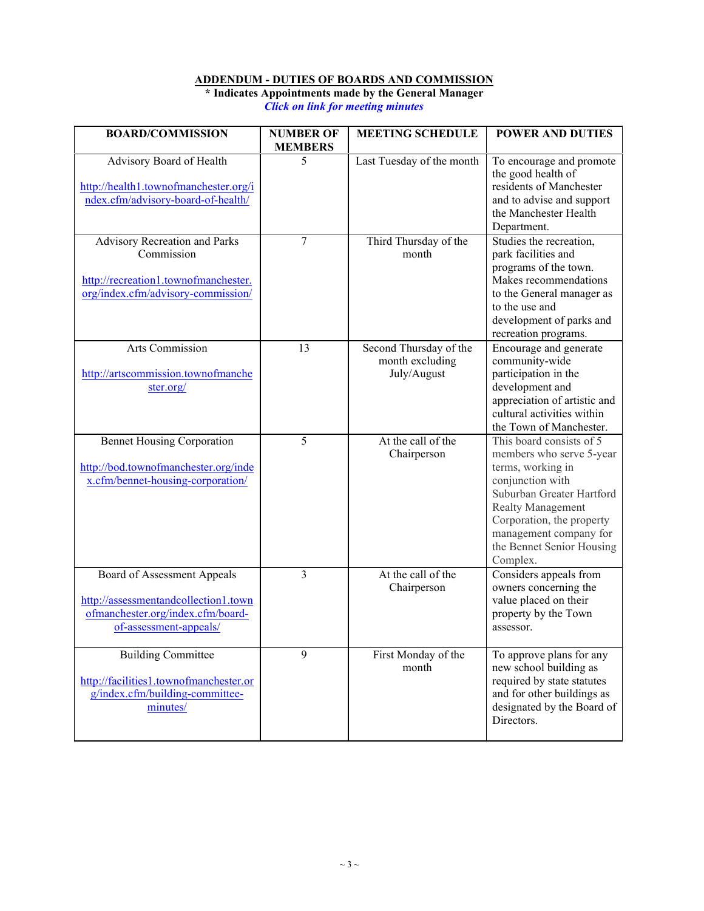### **ADDENDUM - DUTIES OF BOARDS AND COMMISSION**

**\* Indicates Appointments made by the General Manager** *Click on link for meeting minutes*

<span id="page-2-0"></span>

| <b>BOARD/COMMISSION</b>                                                                                                            | <b>NUMBER OF</b><br><b>MEMBERS</b> | <b>MEETING SCHEDULE</b>                                  | <b>POWER AND DUTIES</b>                                                                                                                                                                                                                         |
|------------------------------------------------------------------------------------------------------------------------------------|------------------------------------|----------------------------------------------------------|-------------------------------------------------------------------------------------------------------------------------------------------------------------------------------------------------------------------------------------------------|
| Advisory Board of Health<br>http://health1.townofmanchester.org/i<br>ndex.cfm/advisory-board-of-health/                            | 5                                  | Last Tuesday of the month                                | To encourage and promote<br>the good health of<br>residents of Manchester<br>and to advise and support<br>the Manchester Health<br>Department.                                                                                                  |
| Advisory Recreation and Parks<br>Commission<br>http://recreation1.townofmanchester.<br>org/index.cfm/advisory-commission/          | $\overline{7}$                     | Third Thursday of the<br>month                           | Studies the recreation,<br>park facilities and<br>programs of the town.<br>Makes recommendations<br>to the General manager as<br>to the use and<br>development of parks and<br>recreation programs.                                             |
| <b>Arts Commission</b><br>http://artscommission.townofmanche<br>ster.org/                                                          | 13                                 | Second Thursday of the<br>month excluding<br>July/August | Encourage and generate<br>community-wide<br>participation in the<br>development and<br>appreciation of artistic and<br>cultural activities within<br>the Town of Manchester.                                                                    |
| <b>Bennet Housing Corporation</b><br>http://bod.townofmanchester.org/inde<br>x.cfm/bennet-housing-corporation/                     | 5                                  | At the call of the<br>Chairperson                        | This board consists of 5<br>members who serve 5-year<br>terms, working in<br>conjunction with<br>Suburban Greater Hartford<br>Realty Management<br>Corporation, the property<br>management company for<br>the Bennet Senior Housing<br>Complex. |
| Board of Assessment Appeals<br>http://assessmentandcollection1.town<br>ofmanchester.org/index.cfm/board-<br>of-assessment-appeals/ | 3                                  | At the call of the<br>Chairperson                        | Considers appeals from<br>owners concerning the<br>value placed on their<br>property by the Town<br>assessor.                                                                                                                                   |
| <b>Building Committee</b><br>http://facilities1.townofmanchester.or<br>g/index.cfm/building-committee-<br>minutes/                 | 9                                  | First Monday of the<br>month                             | To approve plans for any<br>new school building as<br>required by state statutes<br>and for other buildings as<br>designated by the Board of<br>Directors.                                                                                      |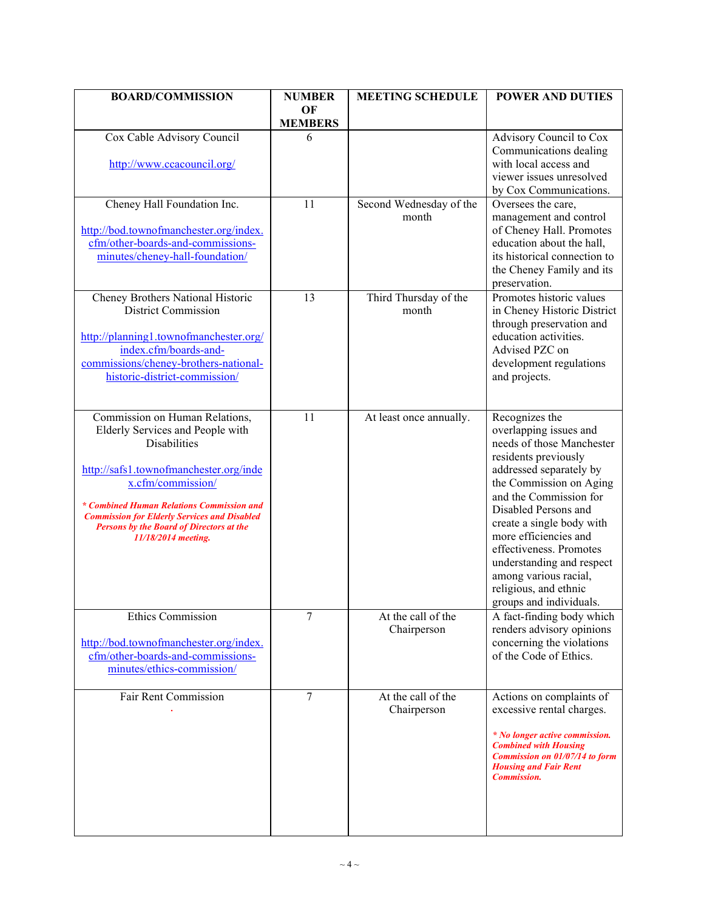| <b>BOARD/COMMISSION</b>                                                                                                                                                                                                                                                                                                                | <b>NUMBER</b><br>OF | <b>MEETING SCHEDULE</b>           | <b>POWER AND DUTIES</b>                                                                                                                                                                                                                                                                                                                                                                          |
|----------------------------------------------------------------------------------------------------------------------------------------------------------------------------------------------------------------------------------------------------------------------------------------------------------------------------------------|---------------------|-----------------------------------|--------------------------------------------------------------------------------------------------------------------------------------------------------------------------------------------------------------------------------------------------------------------------------------------------------------------------------------------------------------------------------------------------|
|                                                                                                                                                                                                                                                                                                                                        | <b>MEMBERS</b>      |                                   |                                                                                                                                                                                                                                                                                                                                                                                                  |
| Cox Cable Advisory Council                                                                                                                                                                                                                                                                                                             | 6                   |                                   | Advisory Council to Cox<br>Communications dealing                                                                                                                                                                                                                                                                                                                                                |
| http://www.ccacouncil.org/                                                                                                                                                                                                                                                                                                             |                     |                                   | with local access and<br>viewer issues unresolved<br>by Cox Communications.                                                                                                                                                                                                                                                                                                                      |
| Cheney Hall Foundation Inc.<br>http://bod.townofmanchester.org/index.<br>cfm/other-boards-and-commissions-<br>minutes/cheney-hall-foundation/                                                                                                                                                                                          | 11                  | Second Wednesday of the<br>month  | Oversees the care,<br>management and control<br>of Cheney Hall. Promotes<br>education about the hall,<br>its historical connection to<br>the Cheney Family and its<br>preservation.                                                                                                                                                                                                              |
| Cheney Brothers National Historic<br><b>District Commission</b><br>http://planning1.townofmanchester.org/<br>index.cfm/boards-and-<br>commissions/cheney-brothers-national-<br>historic-district-commission/                                                                                                                           | 13                  | Third Thursday of the<br>month    | Promotes historic values<br>in Cheney Historic District<br>through preservation and<br>education activities.<br>Advised PZC on<br>development regulations<br>and projects.                                                                                                                                                                                                                       |
| Commission on Human Relations,<br>Elderly Services and People with<br><b>Disabilities</b><br>http://safs1.townofmanchester.org/inde<br>x.cfm/commission/<br>* Combined Human Relations Commission and<br><b>Commission for Elderly Services and Disabled</b><br><b>Persons by the Board of Directors at the</b><br>11/18/2014 meeting. | 11                  | At least once annually.           | Recognizes the<br>overlapping issues and<br>needs of those Manchester<br>residents previously<br>addressed separately by<br>the Commission on Aging<br>and the Commission for<br>Disabled Persons and<br>create a single body with<br>more efficiencies and<br>effectiveness. Promotes<br>understanding and respect<br>among various racial,<br>religious, and ethnic<br>groups and individuals. |
| <b>Ethics Commission</b><br>http://bod.townofmanchester.org/index.<br>cfm/other-boards-and-commissions-<br>minutes/ethics-commission/                                                                                                                                                                                                  | 7                   | At the call of the<br>Chairperson | A fact-finding body which<br>renders advisory opinions<br>concerning the violations<br>of the Code of Ethics.                                                                                                                                                                                                                                                                                    |
| Fair Rent Commission                                                                                                                                                                                                                                                                                                                   | 7                   | At the call of the<br>Chairperson | Actions on complaints of<br>excessive rental charges.<br>* No longer active commission.<br><b>Combined with Housing</b><br><b>Commission on 01/07/14 to form</b><br><b>Housing and Fair Rent</b><br><b>Commission.</b>                                                                                                                                                                           |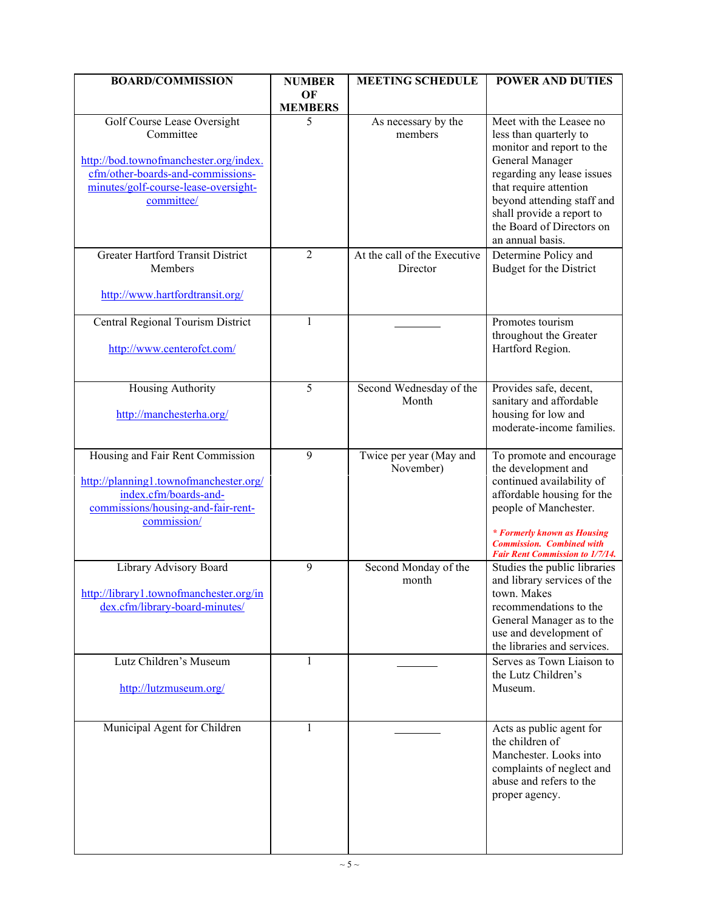| <b>BOARD/COMMISSION</b>                                                                                                                                  | <b>NUMBER</b>        | <b>MEETING SCHEDULE</b>                  | <b>POWER AND DUTIES</b>                                                                                                                                                                                                                          |
|----------------------------------------------------------------------------------------------------------------------------------------------------------|----------------------|------------------------------------------|--------------------------------------------------------------------------------------------------------------------------------------------------------------------------------------------------------------------------------------------------|
|                                                                                                                                                          | OF<br><b>MEMBERS</b> |                                          |                                                                                                                                                                                                                                                  |
| Golf Course Lease Oversight<br>Committee<br>http://bod.townofmanchester.org/index.                                                                       | 5                    | As necessary by the<br>members           | Meet with the Leasee no<br>less than quarterly to<br>monitor and report to the<br>General Manager                                                                                                                                                |
| cfm/other-boards-and-commissions-<br>minutes/golf-course-lease-oversight-<br>committee/                                                                  |                      |                                          | regarding any lease issues<br>that require attention<br>beyond attending staff and<br>shall provide a report to                                                                                                                                  |
|                                                                                                                                                          |                      |                                          | the Board of Directors on<br>an annual basis.                                                                                                                                                                                                    |
| <b>Greater Hartford Transit District</b><br>Members                                                                                                      | $\overline{2}$       | At the call of the Executive<br>Director | Determine Policy and<br>Budget for the District                                                                                                                                                                                                  |
| http://www.hartfordtransit.org/                                                                                                                          |                      |                                          |                                                                                                                                                                                                                                                  |
| Central Regional Tourism District<br>http://www.centerofct.com/                                                                                          | $\mathbf{1}$         |                                          | Promotes tourism<br>throughout the Greater<br>Hartford Region.                                                                                                                                                                                   |
| Housing Authority<br>http://manchesterha.org/                                                                                                            | 5                    | Second Wednesday of the<br>Month         | Provides safe, decent,<br>sanitary and affordable<br>housing for low and<br>moderate-income families.                                                                                                                                            |
| Housing and Fair Rent Commission<br>http://planning1.townofmanchester.org/<br>index.cfm/boards-and-<br>commissions/housing-and-fair-rent-<br>commission/ | 9                    | Twice per year (May and<br>November)     | To promote and encourage<br>the development and<br>continued availability of<br>affordable housing for the<br>people of Manchester.<br>* Formerly known as Housing<br><b>Commission.</b> Combined with<br><b>Fair Rent Commission to 1/7/14.</b> |
| Library Advisory Board<br>http://library1.townofmanchester.org/in<br>dex.cfm/library-board-minutes/                                                      | 9                    | Second Monday of the<br>month            | Studies the public libraries<br>and library services of the<br>town. Makes<br>recommendations to the<br>General Manager as to the<br>use and development of<br>the libraries and services.                                                       |
| Lutz Children's Museum<br>http://lutzmuseum.org/                                                                                                         | $\mathbf{1}$         |                                          | Serves as Town Liaison to<br>the Lutz Children's<br>Museum.                                                                                                                                                                                      |
| Municipal Agent for Children                                                                                                                             | 1                    |                                          | Acts as public agent for<br>the children of<br>Manchester. Looks into<br>complaints of neglect and<br>abuse and refers to the<br>proper agency.                                                                                                  |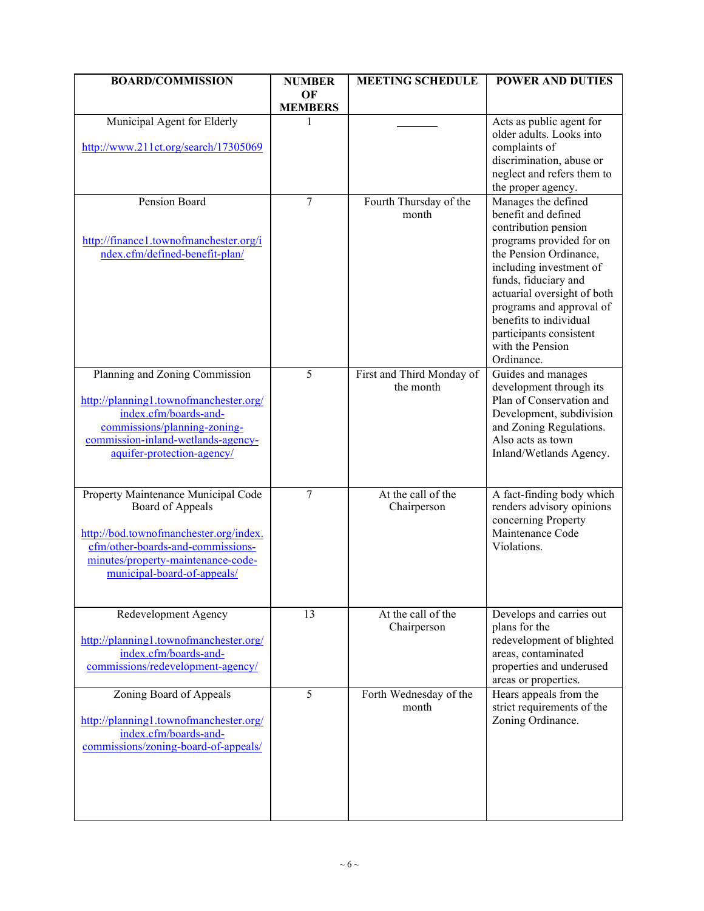| <b>BOARD/COMMISSION</b>                                                     | <b>NUMBER</b>        | <b>MEETING SCHEDULE</b>                | <b>POWER AND DUTIES</b>                              |
|-----------------------------------------------------------------------------|----------------------|----------------------------------------|------------------------------------------------------|
|                                                                             | OF<br><b>MEMBERS</b> |                                        |                                                      |
| Municipal Agent for Elderly                                                 |                      |                                        | Acts as public agent for                             |
|                                                                             |                      |                                        | older adults. Looks into                             |
| http://www.211ct.org/search/17305069                                        |                      |                                        | complaints of                                        |
|                                                                             |                      |                                        | discrimination, abuse or                             |
|                                                                             |                      |                                        | neglect and refers them to<br>the proper agency.     |
| Pension Board                                                               | $\overline{7}$       | Fourth Thursday of the                 | Manages the defined                                  |
|                                                                             |                      | month                                  | benefit and defined                                  |
|                                                                             |                      |                                        | contribution pension                                 |
| http://finance1.townofmanchester.org/i                                      |                      |                                        | programs provided for on                             |
| ndex.cfm/defined-benefit-plan/                                              |                      |                                        | the Pension Ordinance,                               |
|                                                                             |                      |                                        | including investment of                              |
|                                                                             |                      |                                        | funds, fiduciary and<br>actuarial oversight of both  |
|                                                                             |                      |                                        | programs and approval of                             |
|                                                                             |                      |                                        | benefits to individual                               |
|                                                                             |                      |                                        | participants consistent                              |
|                                                                             |                      |                                        | with the Pension                                     |
|                                                                             |                      |                                        | Ordinance.                                           |
| Planning and Zoning Commission                                              | $\overline{5}$       | First and Third Monday of<br>the month | Guides and manages                                   |
| http://planning1.townofmanchester.org/                                      |                      |                                        | development through its<br>Plan of Conservation and  |
| index.cfm/boards-and-                                                       |                      |                                        | Development, subdivision                             |
| commissions/planning-zoning-                                                |                      |                                        | and Zoning Regulations.                              |
| commission-inland-wetlands-agency-                                          |                      |                                        | Also acts as town                                    |
| aquifer-protection-agency/                                                  |                      |                                        | Inland/Wetlands Agency.                              |
|                                                                             |                      |                                        |                                                      |
| Property Maintenance Municipal Code                                         | $\tau$               | At the call of the                     | A fact-finding body which                            |
| Board of Appeals                                                            |                      | Chairperson                            | renders advisory opinions                            |
|                                                                             |                      |                                        | concerning Property<br>Maintenance Code              |
| http://bod.townofmanchester.org/index.<br>cfm/other-boards-and-commissions- |                      |                                        | Violations.                                          |
| minutes/property-maintenance-code-                                          |                      |                                        |                                                      |
| municipal-board-of-appeals/                                                 |                      |                                        |                                                      |
|                                                                             |                      |                                        |                                                      |
| Redevelopment Agency                                                        | 13                   | At the call of the                     | Develops and carries out                             |
|                                                                             |                      | Chairperson                            | plans for the                                        |
| http://planning1.townofmanchester.org/                                      |                      |                                        | redevelopment of blighted                            |
| index.cfm/boards-and-                                                       |                      |                                        | areas, contaminated                                  |
| commissions/redevelopment-agency/                                           |                      |                                        | properties and underused                             |
|                                                                             | 5                    | Forth Wednesday of the                 | areas or properties.                                 |
| Zoning Board of Appeals                                                     |                      | month                                  | Hears appeals from the<br>strict requirements of the |
| http://planning1.townofmanchester.org/                                      |                      |                                        | Zoning Ordinance.                                    |
| index.cfm/boards-and-                                                       |                      |                                        |                                                      |
| commissions/zoning-board-of-appeals/                                        |                      |                                        |                                                      |
|                                                                             |                      |                                        |                                                      |
|                                                                             |                      |                                        |                                                      |
|                                                                             |                      |                                        |                                                      |
|                                                                             |                      |                                        |                                                      |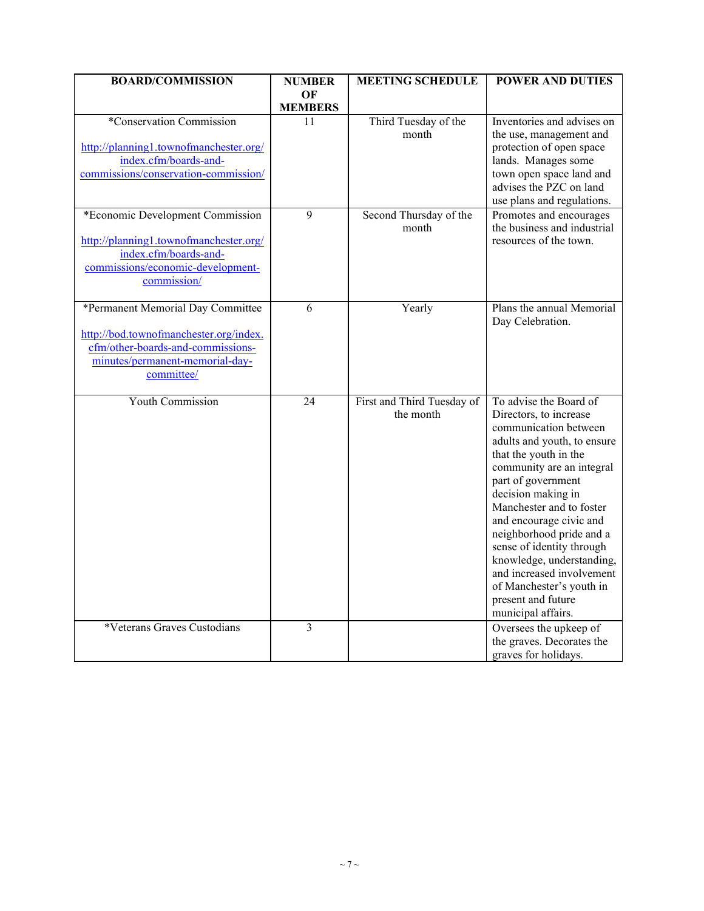| <b>BOARD/COMMISSION</b>                                                                                                                                           | <b>NUMBER</b>        | <b>MEETING SCHEDULE</b>                 | <b>POWER AND DUTIES</b>                                                                                                                                                                                                                                                                                                                                                                                                                                      |
|-------------------------------------------------------------------------------------------------------------------------------------------------------------------|----------------------|-----------------------------------------|--------------------------------------------------------------------------------------------------------------------------------------------------------------------------------------------------------------------------------------------------------------------------------------------------------------------------------------------------------------------------------------------------------------------------------------------------------------|
|                                                                                                                                                                   | OF<br><b>MEMBERS</b> |                                         |                                                                                                                                                                                                                                                                                                                                                                                                                                                              |
| *Conservation Commission<br>http://planning1.townofmanchester.org/<br>index.cfm/boards-and-<br>commissions/conservation-commission/                               | 11                   | Third Tuesday of the<br>month           | Inventories and advises on<br>the use, management and<br>protection of open space<br>lands. Manages some<br>town open space land and<br>advises the PZC on land<br>use plans and regulations.                                                                                                                                                                                                                                                                |
| *Economic Development Commission<br>http://planning1.townofmanchester.org/<br>index.cfm/boards-and-<br>commissions/economic-development-<br>commission/           | 9                    | Second Thursday of the<br>month         | Promotes and encourages<br>the business and industrial<br>resources of the town.                                                                                                                                                                                                                                                                                                                                                                             |
| *Permanent Memorial Day Committee<br>http://bod.townofmanchester.org/index.<br>cfm/other-boards-and-commissions-<br>minutes/permanent-memorial-day-<br>committee/ | 6                    | Yearly                                  | Plans the annual Memorial<br>Day Celebration.                                                                                                                                                                                                                                                                                                                                                                                                                |
| <b>Youth Commission</b>                                                                                                                                           | $\overline{24}$      | First and Third Tuesday of<br>the month | To advise the Board of<br>Directors, to increase<br>communication between<br>adults and youth, to ensure<br>that the youth in the<br>community are an integral<br>part of government<br>decision making in<br>Manchester and to foster<br>and encourage civic and<br>neighborhood pride and a<br>sense of identity through<br>knowledge, understanding,<br>and increased involvement<br>of Manchester's youth in<br>present and future<br>municipal affairs. |
| *Veterans Graves Custodians                                                                                                                                       | 3                    |                                         | Oversees the upkeep of<br>the graves. Decorates the<br>graves for holidays.                                                                                                                                                                                                                                                                                                                                                                                  |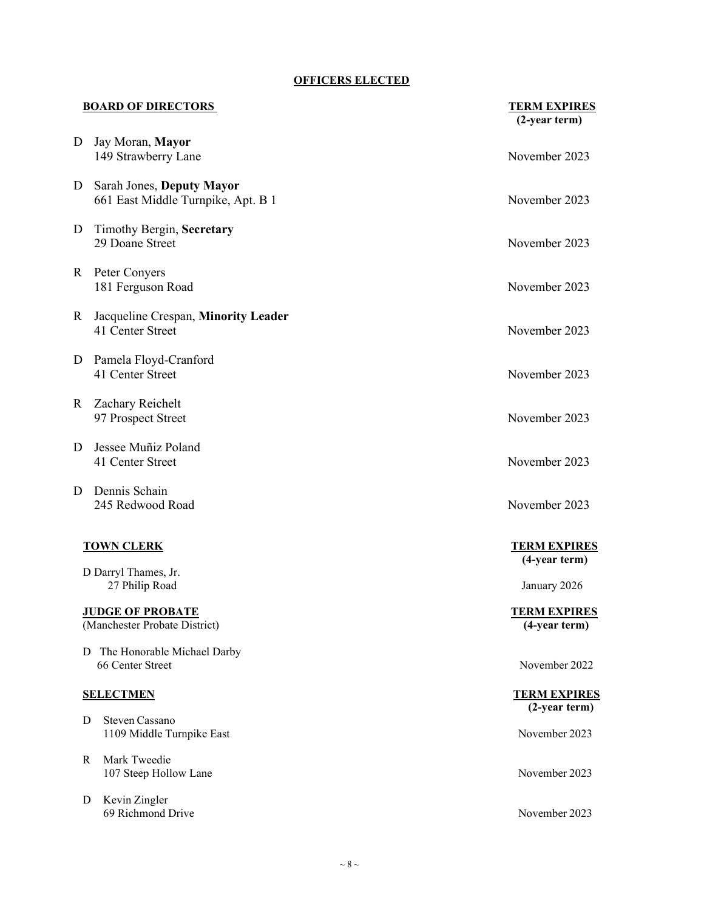#### **OFFICERS ELECTED**

|    | <b>BOARD OF DIRECTORS</b>                                       | <b>TERM EXPIRES</b><br>$(2$ -year term) |
|----|-----------------------------------------------------------------|-----------------------------------------|
| D  | Jay Moran, Mayor<br>149 Strawberry Lane                         | November 2023                           |
| D  | Sarah Jones, Deputy Mayor<br>661 East Middle Turnpike, Apt. B 1 | November 2023                           |
| D  | Timothy Bergin, Secretary<br>29 Doane Street                    | November 2023                           |
| R. | Peter Conyers<br>181 Ferguson Road                              | November 2023                           |
| R. | Jacqueline Crespan, Minority Leader<br>41 Center Street         | November 2023                           |
| D  | Pamela Floyd-Cranford<br>41 Center Street                       | November 2023                           |
| R  | Zachary Reichelt<br>97 Prospect Street                          | November 2023                           |
| D  | Jessee Muñiz Poland<br>41 Center Street                         | November 2023                           |
| D  | Dennis Schain<br>245 Redwood Road                               | November 2023                           |
|    | <b>TOWN CLERK</b><br>D Darryl Thames, Jr.                       | <b>TERM EXPIRES</b><br>(4-year term)    |
|    | 27 Philip Road                                                  | January 2026                            |
|    | <u>JUDGE OF PROBATE</u><br>(Manchester Probate District)        | <b>TERM EXPIRES</b><br>(4-year term)    |
|    | The Honorable Michael Darby<br>D<br>66 Center Street            | November 2022                           |
|    | <b>SELECTMEN</b>                                                | <b>TERM EXPIRES</b>                     |
|    | Steven Cassano<br>D<br>1109 Middle Turnpike East                | $(2-year term)$<br>November 2023        |
| R  | Mark Tweedie<br>107 Steep Hollow Lane                           | November 2023                           |

69 Richmond Drive November 2023

D Kevin Zingler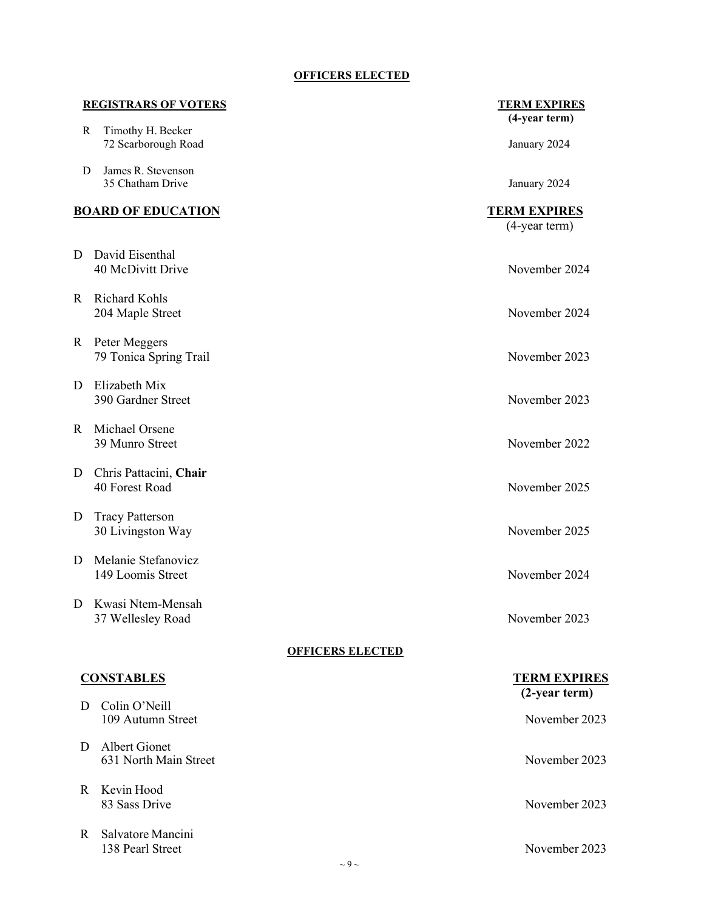### **OFFICERS ELECTED**

|    | <b>REGISTRARS OF VOTERS</b>                 | <b>TERM EXPIRES</b><br>(4-year term) |
|----|---------------------------------------------|--------------------------------------|
| R  | Timothy H. Becker<br>72 Scarborough Road    | January 2024                         |
| D  | James R. Stevenson<br>35 Chatham Drive      | January 2024                         |
|    | <b>BOARD OF EDUCATION</b>                   | <b>TERM EXPIRES</b><br>(4-year term) |
| D  | David Eisenthal<br>40 McDivitt Drive        | November 2024                        |
| R. | Richard Kohls<br>204 Maple Street           | November 2024                        |
| R  | Peter Meggers<br>79 Tonica Spring Trail     | November 2023                        |
| D  | Elizabeth Mix<br>390 Gardner Street         | November 2023                        |
| R. | Michael Orsene<br>39 Munro Street           | November 2022                        |
| D  | Chris Pattacini, Chair<br>40 Forest Road    | November 2025                        |
| D  | <b>Tracy Patterson</b><br>30 Livingston Way | November 2025                        |
| D  | Melanie Stefanovicz<br>149 Loomis Street    | November 2024                        |
| D  | Kwasi Ntem-Mensah<br>37 Wellesley Road      | November 2023                        |
|    | <b>OFFICERS ELECTED</b>                     |                                      |
|    | <b>CONSTABLES</b>                           | <b>TERM EXPIRES</b><br>(2-year term) |
| D  | Colin O'Neill<br>109 Autumn Street          | November 2023                        |
| D  | Albert Gionet<br>631 North Main Street      | November 2023                        |
| R. | Kevin Hood<br>83 Sass Drive                 | November 2023                        |
| R  | Salvatore Mancini<br>138 Pearl Street       | November 2023                        |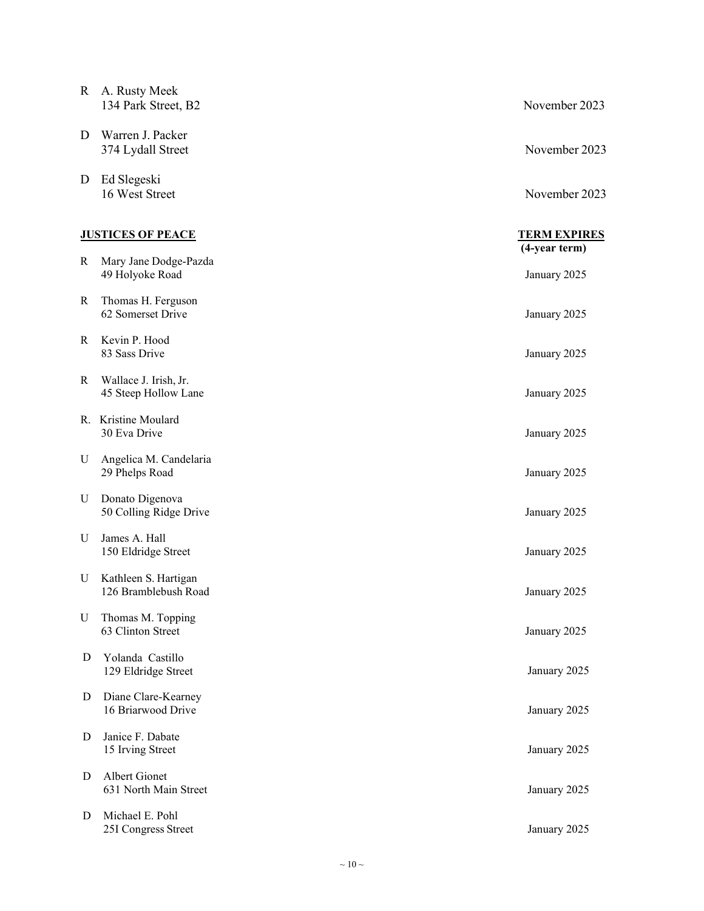| R | A. Rusty Meek<br>134 Park Street, B2          | November 2023                 |
|---|-----------------------------------------------|-------------------------------|
| D | Warren J. Packer<br>374 Lydall Street         | November 2023                 |
| D | Ed Slegeski<br>16 West Street                 | November 2023                 |
|   | <b>JUSTICES OF PEACE</b>                      | <b>TERM EXPIRES</b>           |
| R | Mary Jane Dodge-Pazda<br>49 Holyoke Road      | (4-year term)<br>January 2025 |
| R | Thomas H. Ferguson<br>62 Somerset Drive       | January 2025                  |
| R | Kevin P. Hood<br>83 Sass Drive                | January 2025                  |
| R | Wallace J. Irish, Jr.<br>45 Steep Hollow Lane | January 2025                  |
|   | R. Kristine Moulard<br>30 Eva Drive           | January 2025                  |
| U | Angelica M. Candelaria<br>29 Phelps Road      | January 2025                  |
| U | Donato Digenova<br>50 Colling Ridge Drive     | January 2025                  |
| U | James A. Hall<br>150 Eldridge Street          | January 2025                  |
| U | Kathleen S. Hartigan<br>126 Bramblebush Road  | January 2025                  |
| U | Thomas M. Topping<br>63 Clinton Street        | January 2025                  |
| D | Yolanda Castillo<br>129 Eldridge Street       | January 2025                  |
| D | Diane Clare-Kearney<br>16 Briarwood Drive     | January 2025                  |
| D | Janice F. Dabate<br>15 Irving Street          | January 2025                  |
| D | Albert Gionet<br>631 North Main Street        | January 2025                  |
| D | Michael E. Pohl<br>25I Congress Street        | January 2025                  |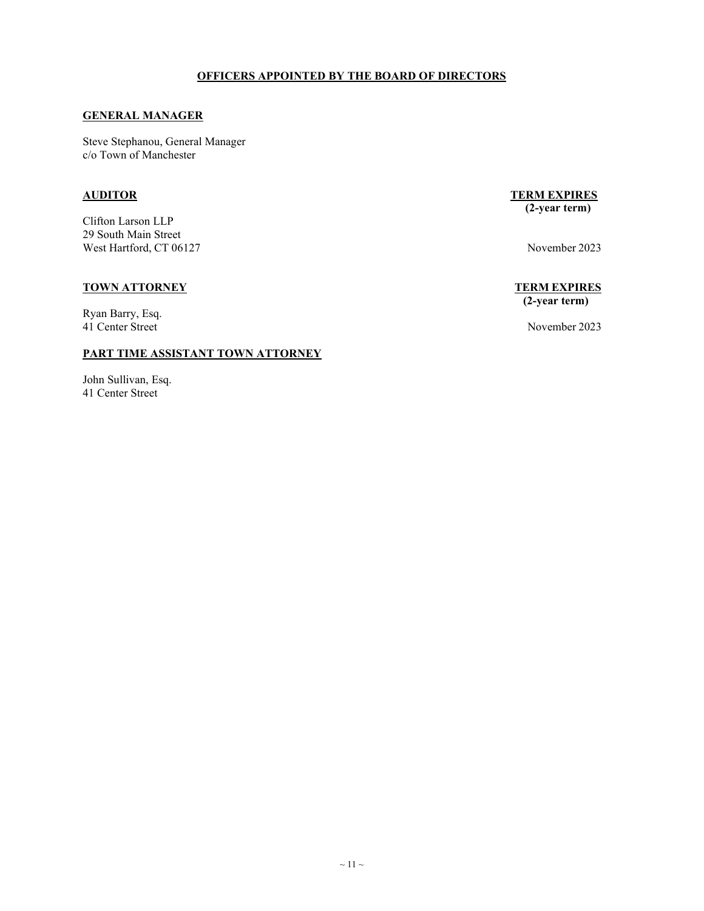#### **GENERAL MANAGER**

Steve Stephanou, General Manager c/o Town of Manchester

Clifton Larson LLP 29 South Main Street West Hartford, CT 06127 November 2023

#### **TOWN ATTORNEY TERM EXPIRES**

Ryan Barry, Esq. 41 Center Street November 2023

#### **PART TIME ASSISTANT TOWN ATTORNEY**

John Sullivan, Esq. 41 Center Street

#### **AUDITOR TERM EXPIRES (2-year term)**

# **(2-year term)**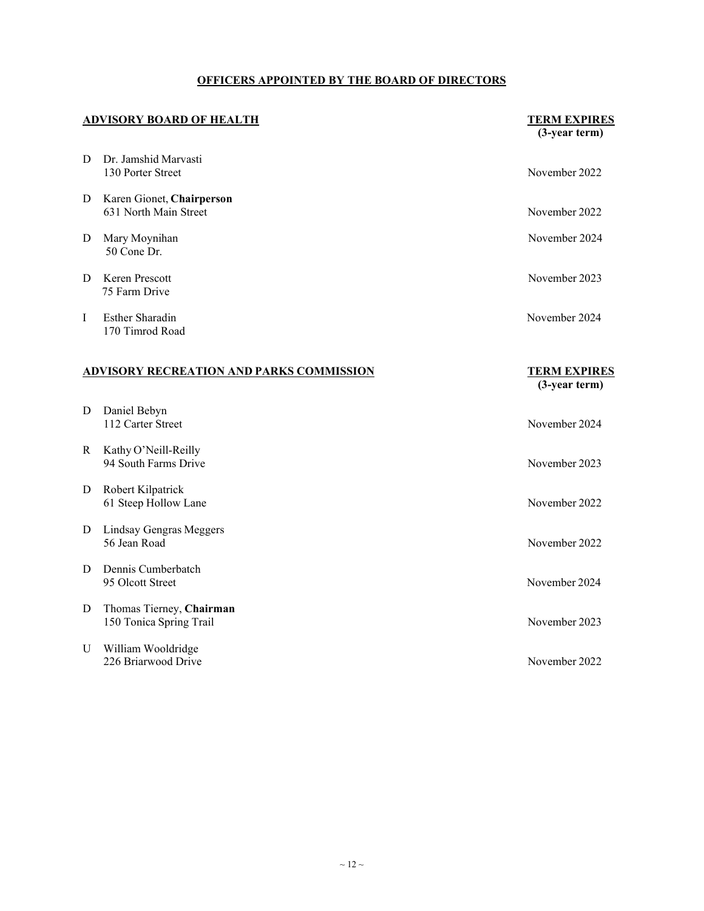|   | <b>ADVISORY BOARD OF HEALTH</b>                     | <b>TERM EXPIRES</b><br>(3-year term) |
|---|-----------------------------------------------------|--------------------------------------|
| D | Dr. Jamshid Marvasti<br>130 Porter Street           | November 2022                        |
| D | Karen Gionet, Chairperson<br>631 North Main Street  | November 2022                        |
| D | Mary Moynihan<br>50 Cone Dr.                        | November 2024                        |
| D | Keren Prescott<br>75 Farm Drive                     | November 2023                        |
| I | <b>Esther Sharadin</b><br>170 Timrod Road           | November 2024                        |
|   | ADVISORY RECREATION AND PARKS COMMISSION            | <b>TERM EXPIRES</b><br>(3-year term) |
| D | Daniel Bebyn<br>112 Carter Street                   | November 2024                        |
| R | Kathy O'Neill-Reilly<br>94 South Farms Drive        | November 2023                        |
| D | Robert Kilpatrick<br>61 Steep Hollow Lane           | November 2022                        |
| D | Lindsay Gengras Meggers<br>56 Jean Road             | November 2022                        |
| D | Dennis Cumberbatch<br>95 Olcott Street              | November 2024                        |
| D | Thomas Tierney, Chairman<br>150 Tonica Spring Trail | November 2023                        |
| U | William Wooldridge<br>226 Briarwood Drive           | November 2022                        |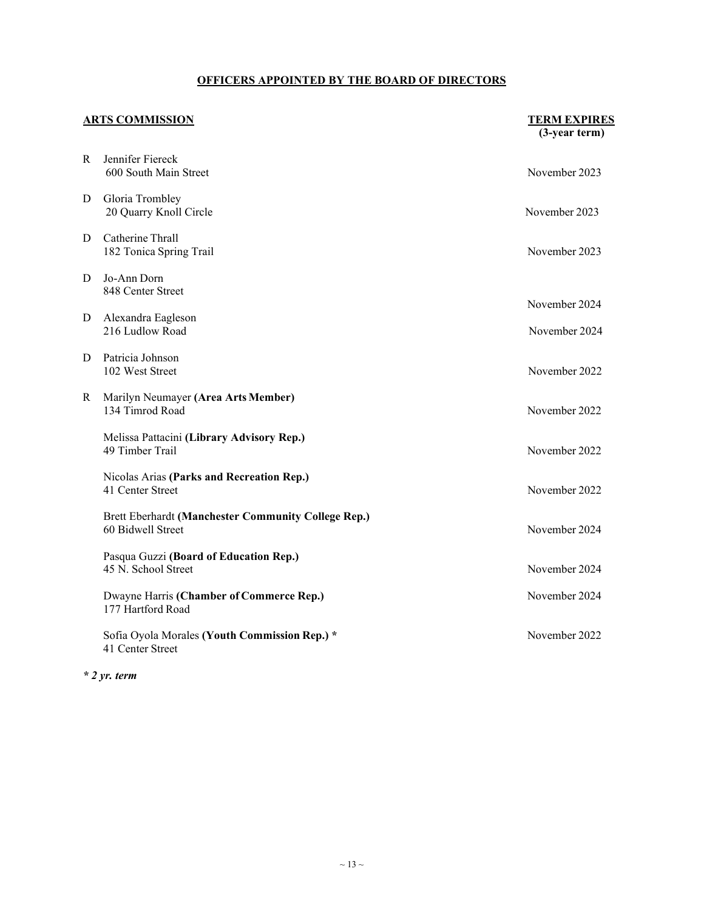|   | <b>ARTS COMMISSION</b>                                                   | <b>TERM EXPIRES</b><br>(3-year term) |
|---|--------------------------------------------------------------------------|--------------------------------------|
| R | Jennifer Fiereck<br>600 South Main Street                                | November 2023                        |
| D | Gloria Trombley<br>20 Quarry Knoll Circle                                | November 2023                        |
| D | Catherine Thrall<br>182 Tonica Spring Trail                              | November 2023                        |
| D | Jo-Ann Dorn<br>848 Center Street                                         |                                      |
| D | Alexandra Eagleson<br>216 Ludlow Road                                    | November 2024<br>November 2024       |
| D | Patricia Johnson<br>102 West Street                                      | November 2022                        |
| R | Marilyn Neumayer (Area Arts Member)<br>134 Timrod Road                   | November 2022                        |
|   | Melissa Pattacini (Library Advisory Rep.)<br>49 Timber Trail             | November 2022                        |
|   | Nicolas Arias (Parks and Recreation Rep.)<br>41 Center Street            | November 2022                        |
|   | Brett Eberhardt (Manchester Community College Rep.)<br>60 Bidwell Street | November 2024                        |
|   | Pasqua Guzzi (Board of Education Rep.)<br>45 N. School Street            | November 2024                        |
|   | Dwayne Harris (Chamber of Commerce Rep.)<br>177 Hartford Road            | November 2024                        |
|   | Sofia Oyola Morales (Youth Commission Rep.) *<br>41 Center Street        | November 2022                        |

*\* 2 yr. term*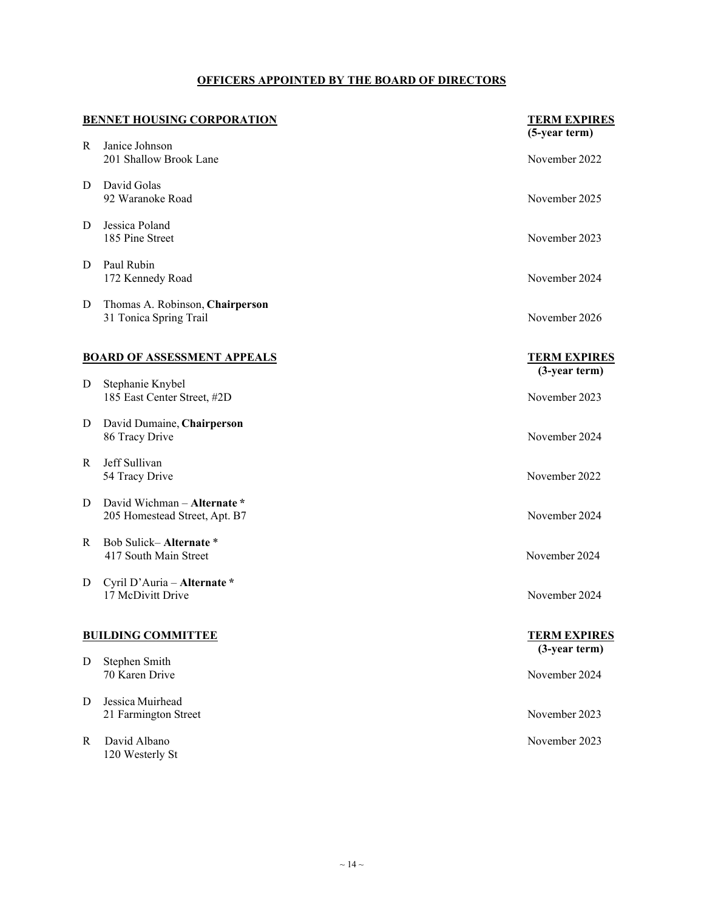|   | <b>BENNET HOUSING CORPORATION</b>                            | <b>TERM EXPIRES</b>                    |
|---|--------------------------------------------------------------|----------------------------------------|
| R | Janice Johnson<br>201 Shallow Brook Lane                     | (5-year term)<br>November 2022         |
| D | David Golas<br>92 Waranoke Road                              | November 2025                          |
| D | Jessica Poland<br>185 Pine Street                            | November 2023                          |
| D | Paul Rubin<br>172 Kennedy Road                               | November 2024                          |
| D | Thomas A. Robinson, Chairperson<br>31 Tonica Spring Trail    | November 2026                          |
|   | <b>BOARD OF ASSESSMENT APPEALS</b>                           | <b>TERM EXPIRES</b><br>$(3-year term)$ |
| D | Stephanie Knybel<br>185 East Center Street, #2D              | November 2023                          |
| D | David Dumaine, Chairperson<br>86 Tracy Drive                 | November 2024                          |
| R | Jeff Sullivan<br>54 Tracy Drive                              | November 2022                          |
| D | David Wichman - Alternate *<br>205 Homestead Street, Apt. B7 | November 2024                          |
| R | Bob Sulick-Alternate*<br>417 South Main Street               | November 2024                          |
| D | Cyril D'Auria - Alternate *<br>17 McDivitt Drive             | November 2024                          |
|   | <b>BUILDING COMMITTEE</b>                                    | <b>TERM EXPIRES</b>                    |
| D | Stephen Smith<br>70 Karen Drive                              | $(3$ -year term)<br>November 2024      |
| D | Jessica Muirhead<br>21 Farmington Street                     | November 2023                          |
| R | David Albano<br>120 Westerly St                              | November 2023                          |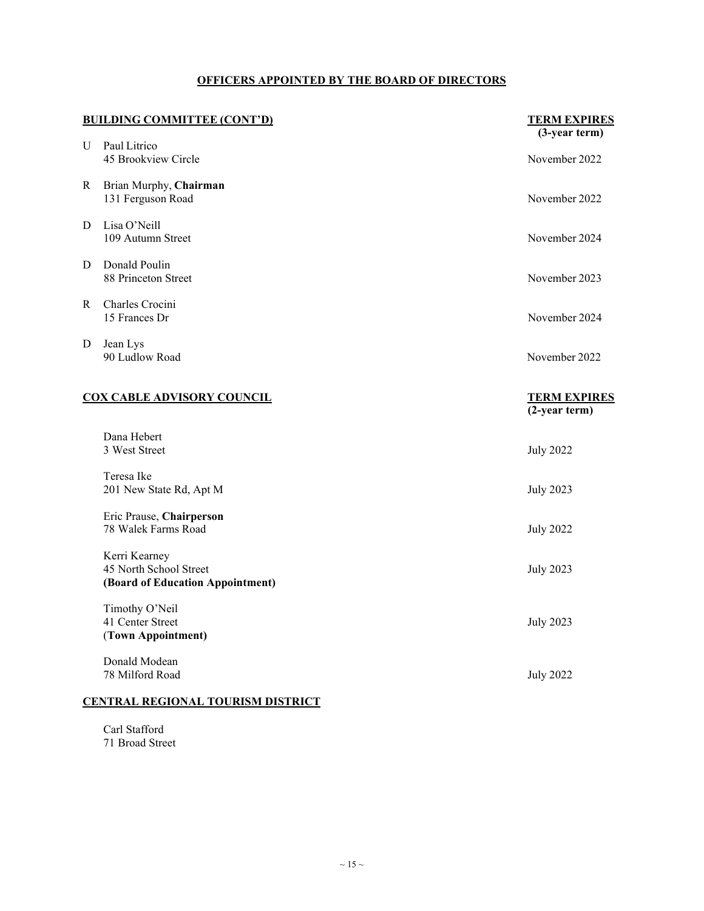| <b>BUILDING COMMITTEE (CONT'D)</b> |                                                                             | <b>TERM EXPIRES</b><br>$(3-year term)$ |
|------------------------------------|-----------------------------------------------------------------------------|----------------------------------------|
| U                                  | Paul Litrico<br>45 Brookview Circle                                         | November 2022                          |
| R                                  | Brian Murphy, Chairman<br>131 Ferguson Road                                 | November 2022                          |
| D                                  | Lisa O'Neill<br>109 Autumn Street                                           | November 2024                          |
| D                                  | Donald Poulin<br>88 Princeton Street                                        | November 2023                          |
| R.                                 | Charles Crocini<br>15 Frances Dr                                            | November 2024                          |
| D                                  | Jean Lys<br>90 Ludlow Road                                                  | November 2022                          |
| <b>COX CABLE ADVISORY COUNCIL</b>  |                                                                             | <b>TERM EXPIRES</b><br>$(2-year term)$ |
|                                    | Dana Hebert<br>3 West Street                                                | <b>July 2022</b>                       |
|                                    | Teresa Ike<br>201 New State Rd, Apt M                                       | <b>July 2023</b>                       |
|                                    | Eric Prause, Chairperson<br>78 Walek Farms Road                             | <b>July 2022</b>                       |
|                                    | Kerri Kearney<br>45 North School Street<br>(Board of Education Appointment) | <b>July 2023</b>                       |
|                                    | Timothy O'Neil<br>41 Center Street<br>(Town Appointment)                    | <b>July 2023</b>                       |
|                                    | Donald Modean<br>78 Milford Road                                            | <b>July 2022</b>                       |
|                                    | <b>CENTRAL REGIONAL TOURISM DISTRICT</b>                                    |                                        |

<span id="page-14-0"></span>Carl Stafford 71 Broad Street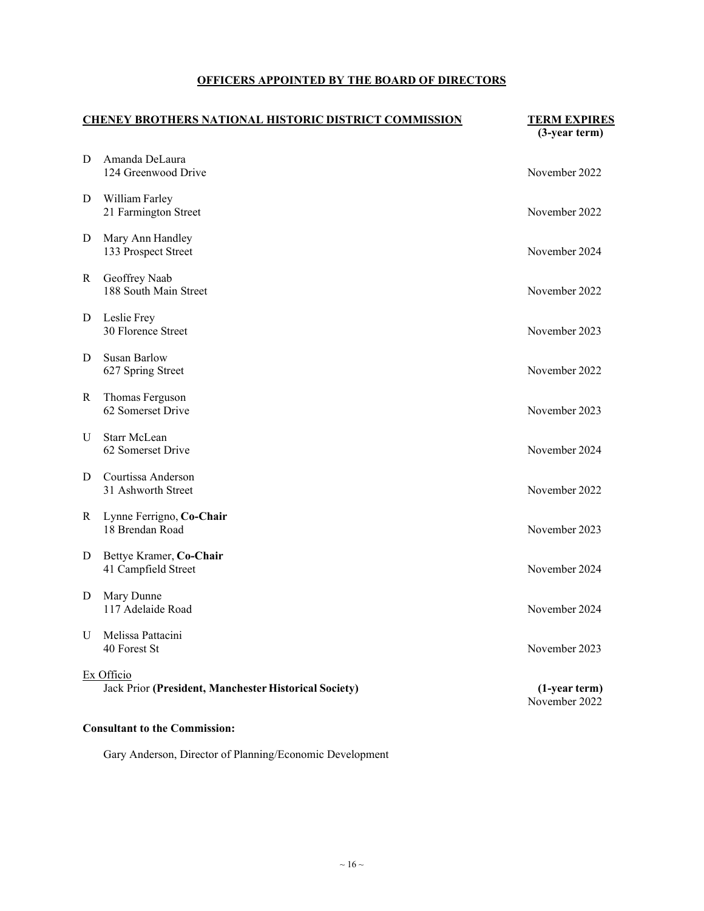| <b>CHENEY BROTHERS NATIONAL HISTORIC DISTRICT COMMISSION</b> |                                                                     | <b>TERM EXPIRES</b><br>$(3$ -year term $)$ |
|--------------------------------------------------------------|---------------------------------------------------------------------|--------------------------------------------|
| D                                                            | Amanda DeLaura<br>124 Greenwood Drive                               | November 2022                              |
| D                                                            | William Farley<br>21 Farmington Street                              | November 2022                              |
| D                                                            | Mary Ann Handley<br>133 Prospect Street                             | November 2024                              |
| R                                                            | Geoffrey Naab<br>188 South Main Street                              | November 2022                              |
| D                                                            | Leslie Frey<br>30 Florence Street                                   | November 2023                              |
| D                                                            | <b>Susan Barlow</b><br>627 Spring Street                            | November 2022                              |
| R                                                            | Thomas Ferguson<br>62 Somerset Drive                                | November 2023                              |
| U                                                            | Starr McLean<br>62 Somerset Drive                                   | November 2024                              |
| D                                                            | Courtissa Anderson<br>31 Ashworth Street                            | November 2022                              |
| R                                                            | Lynne Ferrigno, Co-Chair<br>18 Brendan Road                         | November 2023                              |
| D                                                            | Bettye Kramer, Co-Chair<br>41 Campfield Street                      | November 2024                              |
| D                                                            | Mary Dunne<br>117 Adelaide Road                                     | November 2024                              |
| U                                                            | Melissa Pattacini<br>40 Forest St                                   | November 2023                              |
|                                                              | Ex Officio<br>Jack Prior (President, Manchester Historical Society) | $(1-year term)$<br>November 2022           |

#### **Consultant to the Commission:**

Gary Anderson, Director of Planning/Economic Development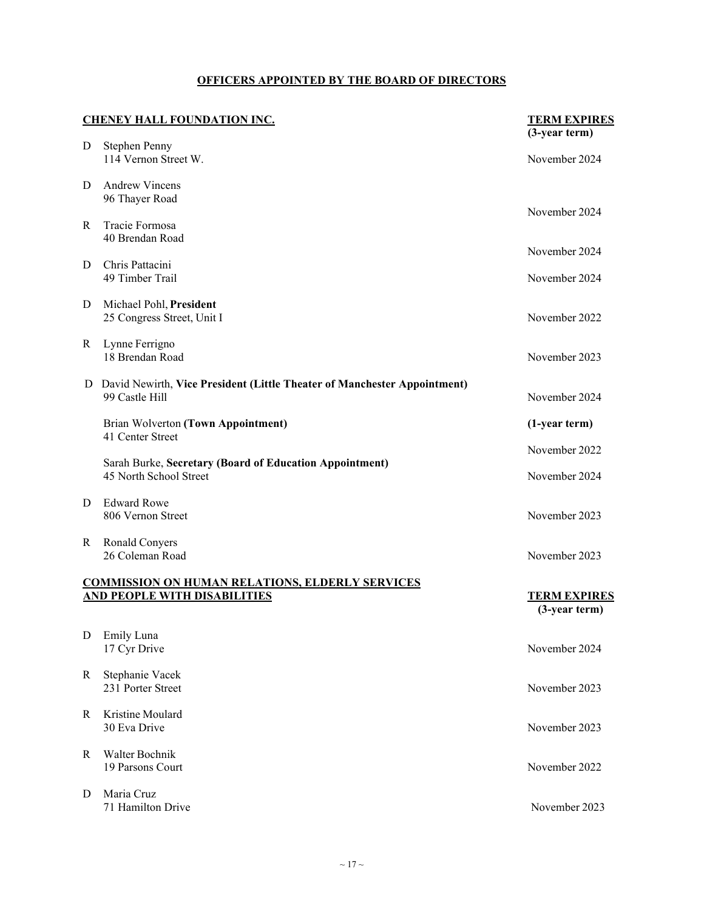| <b>CHENEY HALL FOUNDATION INC.</b> |                                                                                               | <b>TERM EXPIRES</b>                  |
|------------------------------------|-----------------------------------------------------------------------------------------------|--------------------------------------|
| D                                  | <b>Stephen Penny</b><br>114 Vernon Street W.                                                  | (3-year term)<br>November 2024       |
| D                                  | <b>Andrew Vincens</b><br>96 Thayer Road                                                       |                                      |
| R                                  | Tracie Formosa<br>40 Brendan Road                                                             | November 2024                        |
| D                                  | Chris Pattacini<br>49 Timber Trail                                                            | November 2024<br>November 2024       |
| D                                  | Michael Pohl, President<br>25 Congress Street, Unit I                                         | November 2022                        |
| R                                  | Lynne Ferrigno<br>18 Brendan Road                                                             | November 2023                        |
|                                    | D David Newirth, Vice President (Little Theater of Manchester Appointment)<br>99 Castle Hill  | November 2024                        |
|                                    | Brian Wolverton (Town Appointment)<br>41 Center Street                                        | (1-year term)                        |
|                                    | Sarah Burke, Secretary (Board of Education Appointment)<br>45 North School Street             | November 2022<br>November 2024       |
| D                                  | <b>Edward Rowe</b><br>806 Vernon Street                                                       | November 2023                        |
| R                                  | Ronald Conyers<br>26 Coleman Road                                                             | November 2023                        |
|                                    | <b>COMMISSION ON HUMAN RELATIONS, ELDERLY SERVICES</b><br><b>AND PEOPLE WITH DISABILITIES</b> | <b>TERM EXPIRES</b><br>(3-year term) |
| D                                  | <b>Emily Luna</b><br>17 Cyr Drive                                                             | November 2024                        |
| R                                  | Stephanie Vacek<br>231 Porter Street                                                          | November 2023                        |
| R                                  | Kristine Moulard<br>30 Eva Drive                                                              | November 2023                        |
| R                                  | Walter Bochnik<br>19 Parsons Court                                                            | November 2022                        |
| D                                  | Maria Cruz<br>71 Hamilton Drive                                                               | November 2023                        |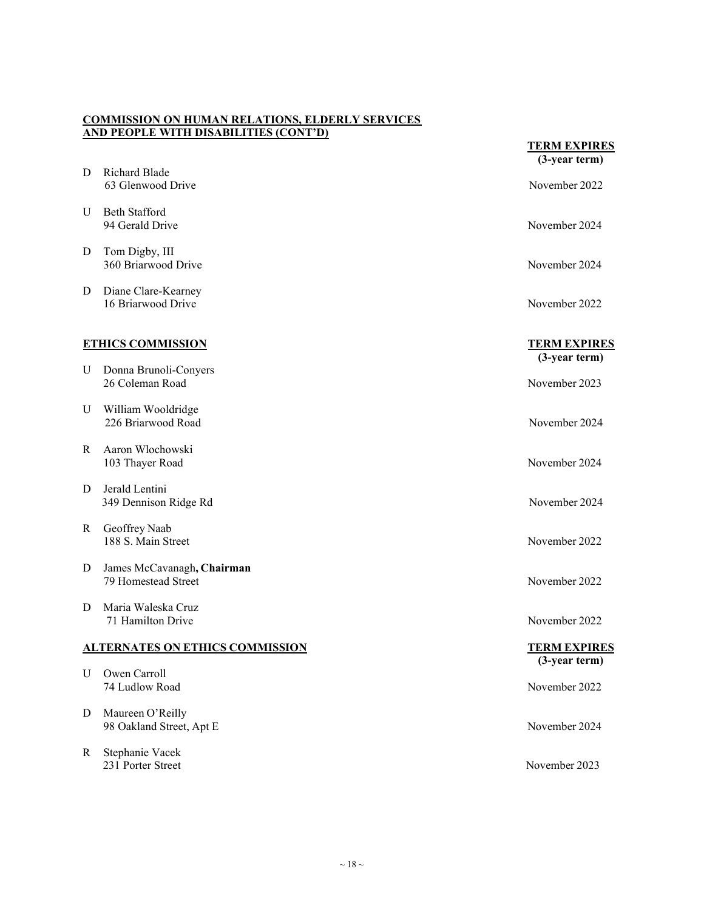#### **COMMISSION ON HUMAN RELATIONS, ELDERLY SERVICES AND PEOPLE WITH DISABILITIES (CONT'D)**

|   |                                                   | <b>TERM EXPIRES</b><br>$(3-year term)$  |
|---|---------------------------------------------------|-----------------------------------------|
| D | Richard Blade<br>63 Glenwood Drive                | November 2022                           |
| U | <b>Beth Stafford</b><br>94 Gerald Drive           | November 2024                           |
| D | Tom Digby, III<br>360 Briarwood Drive             | November 2024                           |
| D | Diane Clare-Kearney<br>16 Briarwood Drive         | November 2022                           |
|   | <b>ETHICS COMMISSION</b>                          | <b>TERM EXPIRES</b><br>(3-year term)    |
| U | Donna Brunoli-Conyers<br>26 Coleman Road          | November 2023                           |
| U | William Wooldridge<br>226 Briarwood Road          | November 2024                           |
| R | Aaron Wlochowski<br>103 Thayer Road               | November 2024                           |
| D | Jerald Lentini<br>349 Dennison Ridge Rd           | November 2024                           |
| R | Geoffrey Naab<br>188 S. Main Street               | November 2022                           |
| D | James McCavanagh, Chairman<br>79 Homestead Street | November 2022                           |
| D | Maria Waleska Cruz<br>71 Hamilton Drive           | November 2022                           |
|   | <b>ALTERNATES ON ETHICS COMMISSION</b>            | <b>TERM EXPIRES</b><br>$(3$ -year term) |
| U | Owen Carroll<br>74 Ludlow Road                    | November 2022                           |
| D | Maureen O'Reilly<br>98 Oakland Street, Apt E      | November 2024                           |
| R | Stephanie Vacek<br>231 Porter Street              | November 2023                           |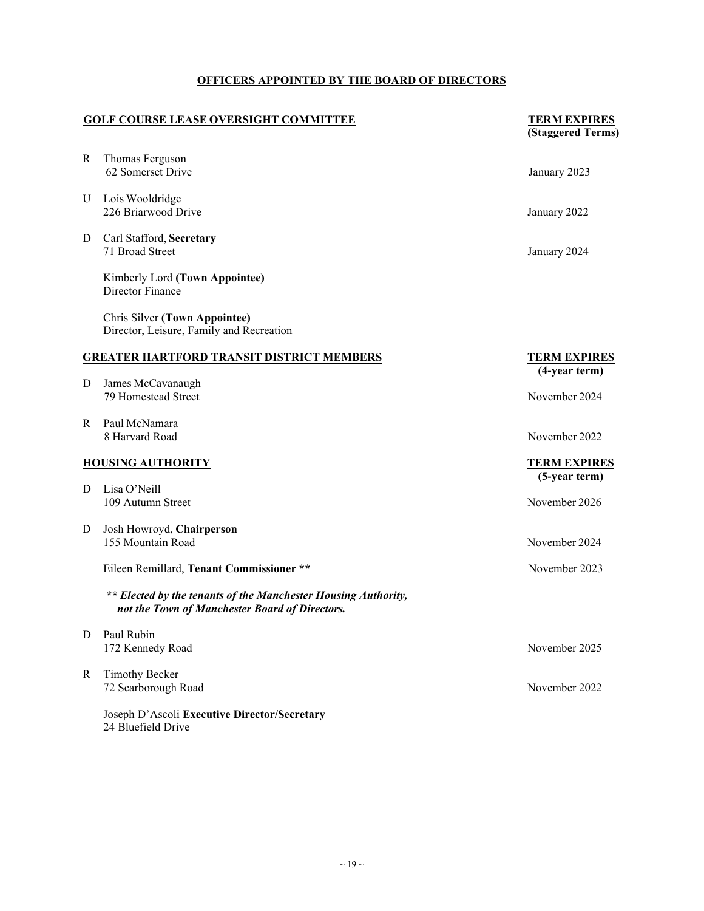| <b>GOLF COURSE LEASE OVERSIGHT COMMITTEE</b> |                                                                                                                  | <b>TERM EXPIRES</b><br>(Staggered Terms) |
|----------------------------------------------|------------------------------------------------------------------------------------------------------------------|------------------------------------------|
| R                                            | Thomas Ferguson<br>62 Somerset Drive                                                                             | January 2023                             |
| U                                            | Lois Wooldridge<br>226 Briarwood Drive                                                                           | January 2022                             |
| D                                            | Carl Stafford, Secretary<br>71 Broad Street                                                                      | January 2024                             |
|                                              | Kimberly Lord (Town Appointee)<br>Director Finance                                                               |                                          |
|                                              | <b>Chris Silver (Town Appointee)</b><br>Director, Leisure, Family and Recreation                                 |                                          |
|                                              | <b>GREATER HARTFORD TRANSIT DISTRICT MEMBERS</b>                                                                 | <b>TERM EXPIRES</b><br>(4-year term)     |
| D                                            | James McCavanaugh<br>79 Homestead Street                                                                         | November 2024                            |
| R                                            | Paul McNamara<br>8 Harvard Road                                                                                  | November 2022                            |
| <b>HOUSING AUTHORITY</b>                     |                                                                                                                  | <b>TERM EXPIRES</b><br>(5-year term)     |
| D                                            | Lisa O'Neill<br>109 Autumn Street                                                                                | November 2026                            |
| D                                            | Josh Howroyd, Chairperson<br>155 Mountain Road                                                                   | November 2024                            |
|                                              | Eileen Remillard, Tenant Commissioner **                                                                         | November 2023                            |
|                                              | ** Elected by the tenants of the Manchester Housing Authority,<br>not the Town of Manchester Board of Directors. |                                          |
| D                                            | Paul Rubin<br>172 Kennedy Road                                                                                   | November 2025                            |
| R                                            | <b>Timothy Becker</b><br>72 Scarborough Road                                                                     | November 2022                            |
|                                              | Joseph D'Ascoli Executive Director/Secretary<br>24 Bluefield Drive                                               |                                          |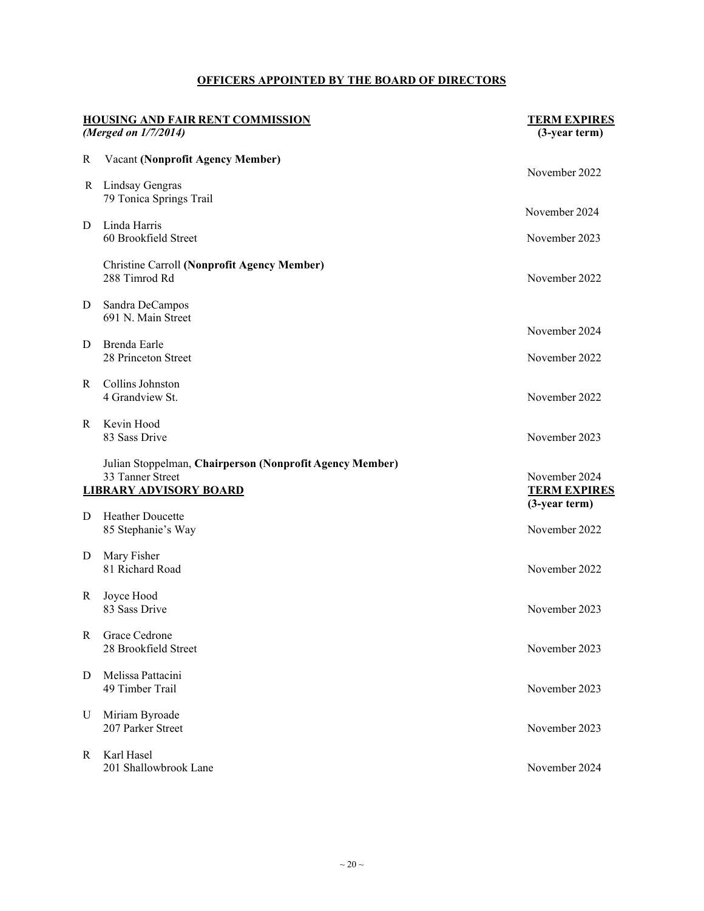| <b>HOUSING AND FAIR RENT COMMISSION</b><br>(Merged on 1/7/2014) |                                                                                                               | <b>TERM EXPIRES</b><br>(3-year term) |
|-----------------------------------------------------------------|---------------------------------------------------------------------------------------------------------------|--------------------------------------|
| R                                                               | <b>Vacant (Nonprofit Agency Member)</b>                                                                       |                                      |
| R                                                               | Lindsay Gengras<br>79 Tonica Springs Trail                                                                    | November 2022                        |
| D                                                               | Linda Harris                                                                                                  | November 2024                        |
|                                                                 | 60 Brookfield Street                                                                                          | November 2023                        |
|                                                                 | <b>Christine Carroll (Nonprofit Agency Member)</b><br>288 Timrod Rd                                           | November 2022                        |
| D                                                               | Sandra DeCampos<br>691 N. Main Street                                                                         | November 2024                        |
| D                                                               | Brenda Earle                                                                                                  |                                      |
|                                                                 | 28 Princeton Street                                                                                           | November 2022                        |
| R                                                               | Collins Johnston<br>4 Grandview St.                                                                           | November 2022                        |
| R                                                               | Kevin Hood<br>83 Sass Drive                                                                                   | November 2023                        |
|                                                                 | Julian Stoppelman, Chairperson (Nonprofit Agency Member)<br>33 Tanner Street<br><b>LIBRARY ADVISORY BOARD</b> | November 2024<br><b>TERM EXPIRES</b> |
| D                                                               | Heather Doucette                                                                                              | $(3$ -year term)                     |
|                                                                 | 85 Stephanie's Way                                                                                            | November 2022                        |
| D                                                               | Mary Fisher<br>81 Richard Road                                                                                | November 2022                        |
| R                                                               | Joyce Hood<br>83 Sass Drive                                                                                   | November 2023                        |
| R                                                               | Grace Cedrone<br>28 Brookfield Street                                                                         | November 2023                        |
| D                                                               | Melissa Pattacini<br>49 Timber Trail                                                                          | November 2023                        |
| U                                                               | Miriam Byroade<br>207 Parker Street                                                                           | November 2023                        |
| R                                                               | Karl Hasel<br>201 Shallowbrook Lane                                                                           | November 2024                        |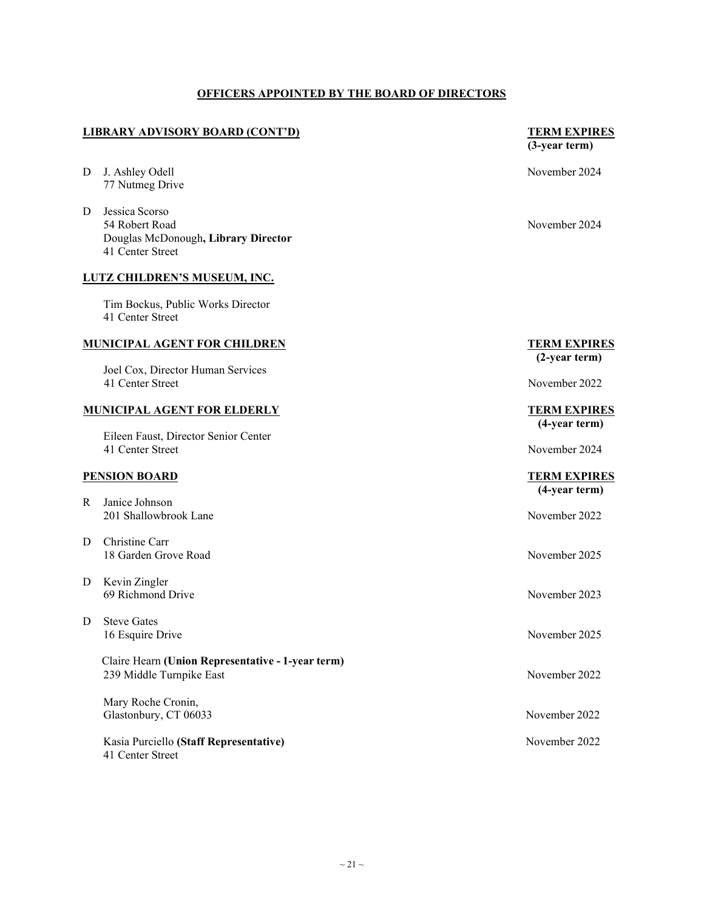#### **LIBRARY ADVISORY BOARD (CONT'D) TERM EXPIRES**

- D J. Ashley Odell November 2024 77 Nutmeg Drive
- D Jessica Scorso 54 Robert Road November 2024 Douglas McDonough**, Library Director** 41 Center Street

#### <span id="page-20-0"></span>**LUTZ CHILDREN'S MUSEUM, INC.**

Tim Bockus, Public Works Director 41 Center Street

#### **MUNICIPAL AGENT FOR CHILDREN TERM EXPIRES**

Joel Cox, Director Human Services 41 Center Street November 2022

#### **MUNICIPAL AGENT FOR ELDERLY TERM EXPIRES**

Eileen Faust, Director Senior Center 41 Center Street November 2024

#### **PENSION BOARD TERM EXPIRES**

- R Janice Johnson 201 Shallowbrook Lane November 2022
- D Christine Carr 18 Garden Grove Road November 2025
- D Kevin Zingler 69 Richmond Drive November 2023
- D Steve Gates 16 Esquire Drive November 2025

 Claire Hearn **(Union Representative - 1-year term)** 239 Middle Turnpike East November 2022

Mary Roche Cronin, Glastonbury, CT 06033 November 2022

Kasia Purciello **(Staff Representative)** November 2022 41 Center Street

# **(3-year term)**

# **(2-year term)**

# **(4-year term)**

# **(4-year term)**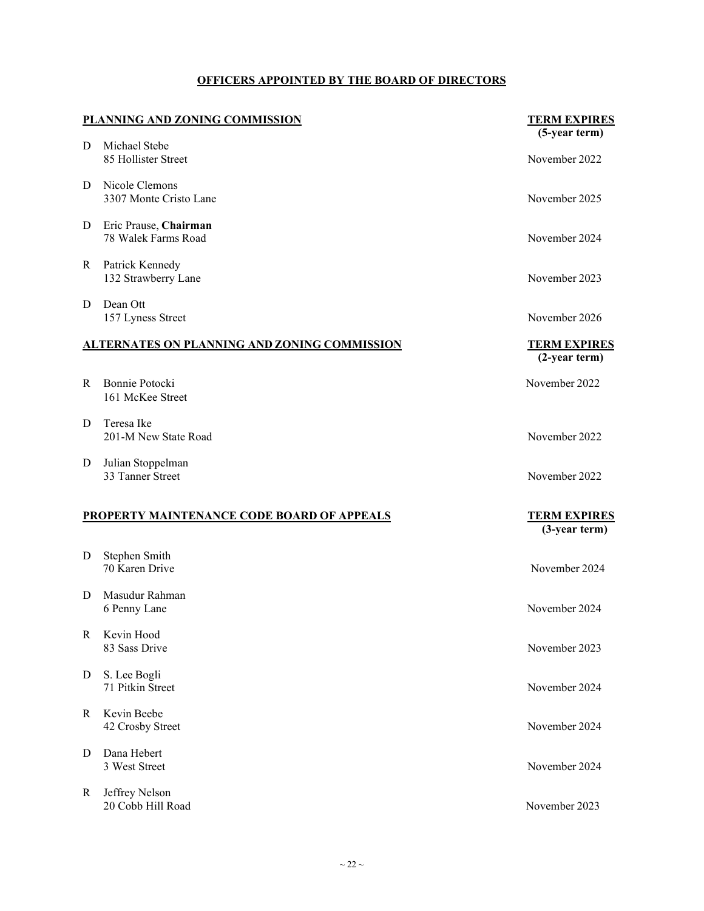|   | PLANNING AND ZONING COMMISSION                      | <b>TERM EXPIRES</b><br>(5-year term)       |
|---|-----------------------------------------------------|--------------------------------------------|
| D | Michael Stebe<br>85 Hollister Street                | November 2022                              |
| D | Nicole Clemons<br>3307 Monte Cristo Lane            | November 2025                              |
| D | Eric Prause, Chairman<br>78 Walek Farms Road        | November 2024                              |
| R | Patrick Kennedy<br>132 Strawberry Lane              | November 2023                              |
| D | Dean Ott<br>157 Lyness Street                       | November 2026                              |
|   | <b>ALTERNATES ON PLANNING AND ZONING COMMISSION</b> | <b>TERM EXPIRES</b><br>$(2-year term)$     |
| R | Bonnie Potocki<br>161 McKee Street                  | November 2022                              |
| D | Teresa Ike<br>201-M New State Road                  | November 2022                              |
| D | Julian Stoppelman<br>33 Tanner Street               | November 2022                              |
|   | PROPERTY MAINTENANCE CODE BOARD OF APPEALS          | <b>TERM EXPIRES</b><br>$(3$ -year term $)$ |
| D | Stephen Smith<br>70 Karen Drive                     | November 2024                              |
| D | Masudur Rahman<br>6 Penny Lane                      | November 2024                              |
| R | Kevin Hood<br>83 Sass Drive                         | November 2023                              |
| D | S. Lee Bogli<br>71 Pitkin Street                    | November 2024                              |
| R | Kevin Beebe<br>42 Crosby Street                     | November 2024                              |
| D | Dana Hebert<br>3 West Street                        | November 2024                              |
| R | Jeffrey Nelson<br>20 Cobb Hill Road                 | November 2023                              |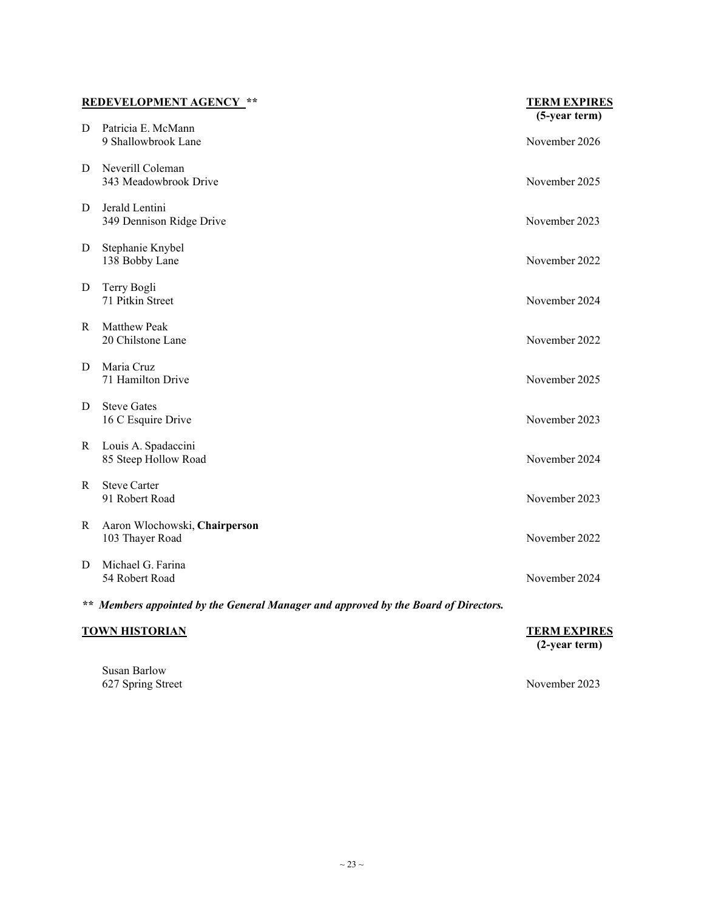| <b>REDEVELOPMENT AGENCY **</b>                                                      |                                                  | <b>TERM EXPIRES</b><br>(5-year term) |
|-------------------------------------------------------------------------------------|--------------------------------------------------|--------------------------------------|
| D                                                                                   | Patricia E. McMann<br>9 Shallowbrook Lane        | November 2026                        |
| D                                                                                   | Neverill Coleman<br>343 Meadowbrook Drive        | November 2025                        |
| D                                                                                   | Jerald Lentini<br>349 Dennison Ridge Drive       | November 2023                        |
| D                                                                                   | Stephanie Knybel<br>138 Bobby Lane               | November 2022                        |
| D                                                                                   | Terry Bogli<br>71 Pitkin Street                  | November 2024                        |
| R                                                                                   | <b>Matthew Peak</b><br>20 Chilstone Lane         | November 2022                        |
| D                                                                                   | Maria Cruz<br>71 Hamilton Drive                  | November 2025                        |
| D                                                                                   | <b>Steve Gates</b><br>16 C Esquire Drive         | November 2023                        |
| R                                                                                   | Louis A. Spadaccini<br>85 Steep Hollow Road      | November 2024                        |
| R                                                                                   | <b>Steve Carter</b><br>91 Robert Road            | November 2023                        |
| R                                                                                   | Aaron Wlochowski, Chairperson<br>103 Thayer Road | November 2022                        |
| D                                                                                   | Michael G. Farina<br>54 Robert Road              | November 2024                        |
| ** Members appointed by the General Manager and approved by the Board of Directors. |                                                  |                                      |
| <b>TOWN HISTORIAN</b>                                                               |                                                  | <b>TERM EXPIRES</b><br>(2-year term) |

Susan Barlow 627 Spring Street November 2023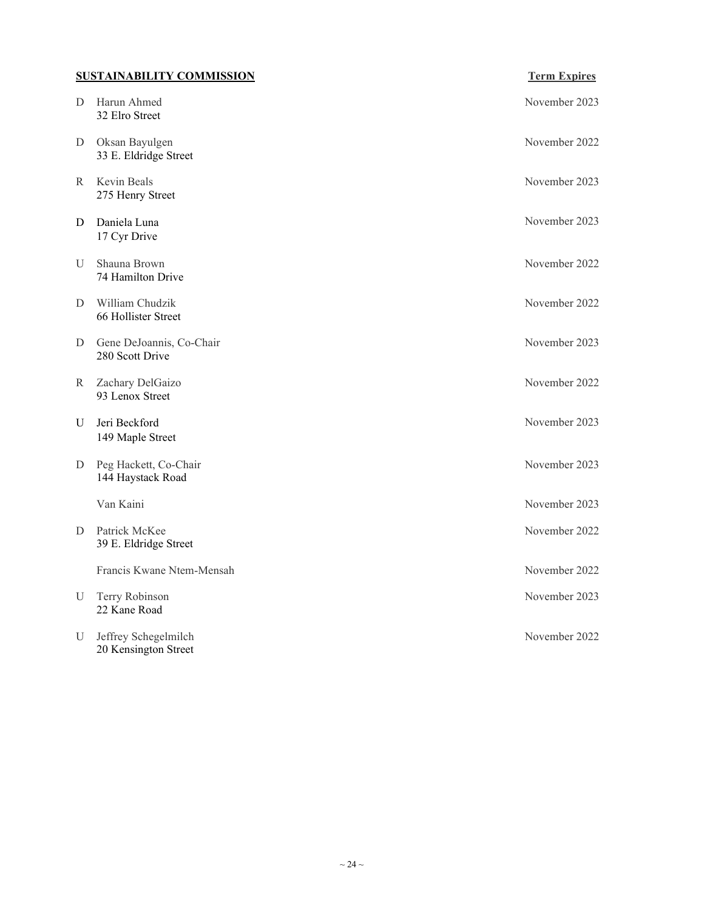### **SUSTAINABILITY COMMISSION Term Expires**

| D           | Harun Ahmed<br>32 Elro Street                | November 2023 |
|-------------|----------------------------------------------|---------------|
| D           | Oksan Bayulgen<br>33 E. Eldridge Street      | November 2022 |
| R           | Kevin Beals<br>275 Henry Street              | November 2023 |
| D           | Daniela Luna<br>17 Cyr Drive                 | November 2023 |
| U           | Shauna Brown<br>74 Hamilton Drive            | November 2022 |
| D           | William Chudzik<br>66 Hollister Street       | November 2022 |
| D           | Gene DeJoannis, Co-Chair<br>280 Scott Drive  | November 2023 |
| R           | Zachary DelGaizo<br>93 Lenox Street          | November 2022 |
| $\mathbf U$ | Jeri Beckford<br>149 Maple Street            | November 2023 |
| D           | Peg Hackett, Co-Chair<br>144 Haystack Road   | November 2023 |
|             | Van Kaini                                    | November 2023 |
| D           | Patrick McKee<br>39 E. Eldridge Street       | November 2022 |
|             | Francis Kwane Ntem-Mensah                    | November 2022 |
| $\mathbf U$ | Terry Robinson<br>22 Kane Road               | November 2023 |
| U           | Jeffrey Schegelmilch<br>20 Kensington Street | November 2022 |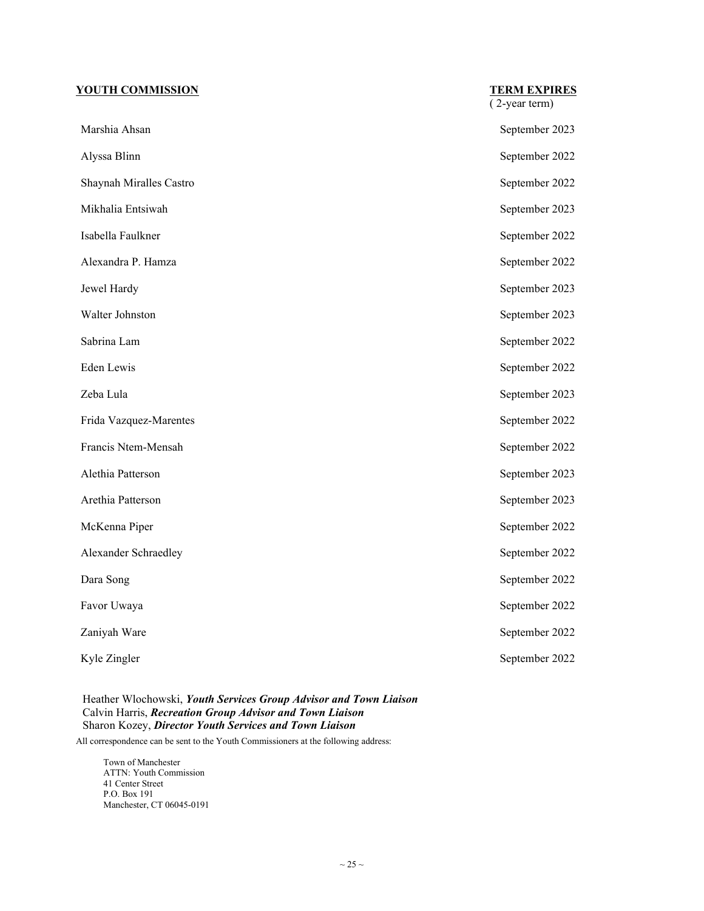#### **YOUTH COMMISSION TERM EXPIRES**

|                         | (2-year term)  |
|-------------------------|----------------|
| Marshia Ahsan           | September 2023 |
| Alyssa Blinn            | September 2022 |
| Shaynah Miralles Castro | September 2022 |
| Mikhalia Entsiwah       | September 2023 |
| Isabella Faulkner       | September 2022 |
| Alexandra P. Hamza      | September 2022 |
| Jewel Hardy             | September 2023 |
| Walter Johnston         | September 2023 |
| Sabrina Lam             | September 2022 |
| Eden Lewis              | September 2022 |
| Zeba Lula               | September 2023 |
| Frida Vazquez-Marentes  | September 2022 |
| Francis Ntem-Mensah     | September 2022 |
| Alethia Patterson       | September 2023 |
| Arethia Patterson       | September 2023 |
| McKenna Piper           | September 2022 |
| Alexander Schraedley    | September 2022 |
| Dara Song               | September 2022 |
| Favor Uwaya             | September 2022 |
| Zaniyah Ware            | September 2022 |
| Kyle Zingler            | September 2022 |

#### Heather Wlochowski, *Youth Services Group Advisor and Town Liaison* Calvin Harris, *Recreation Group Advisor and Town Liaison* Sharon Kozey, *Director Youth Services and Town Liaison*

All correspondence can be sent to the Youth Commissioners at the following address:

Town of Manchester ATTN: Youth Commission 41 Center Street P.O. Box 191 Manchester, CT 06045-0191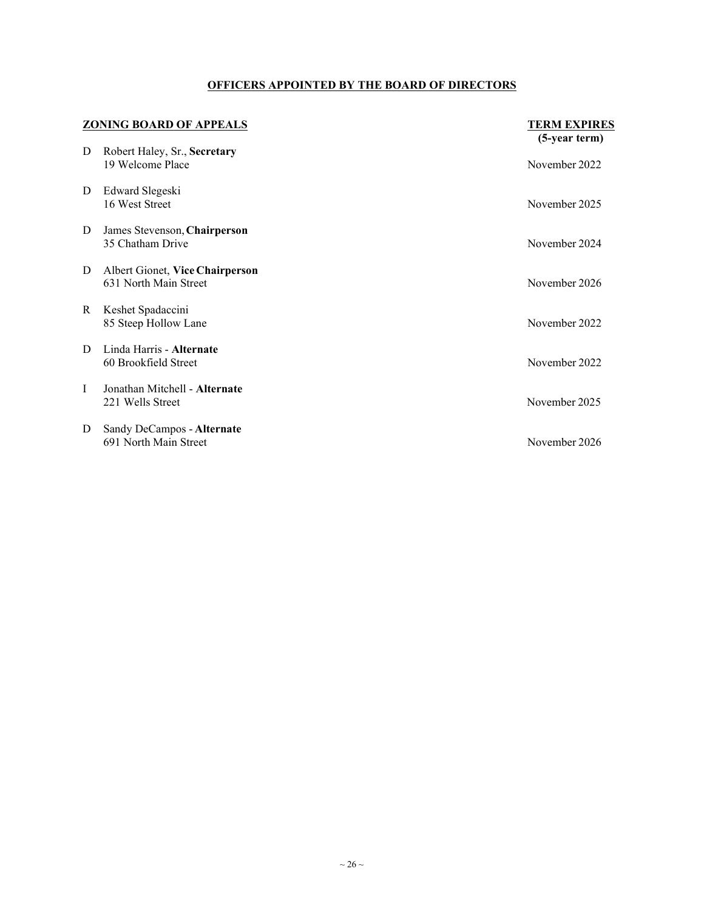| <b>ZONING BOARD OF APPEALS</b> |                                                          | <b>TERM EXPIRES</b> |
|--------------------------------|----------------------------------------------------------|---------------------|
|                                |                                                          | (5-year term)       |
| D                              | Robert Haley, Sr., Secretary<br>19 Welcome Place         | November 2022       |
| D                              | Edward Slegeski<br>16 West Street                        | November 2025       |
| D                              | James Stevenson, Chairperson<br>35 Chatham Drive         | November 2024       |
| D                              | Albert Gionet, Vice Chairperson<br>631 North Main Street | November 2026       |
| R                              | Keshet Spadaccini<br>85 Steep Hollow Lane                | November 2022       |
| D                              | Linda Harris - Alternate<br>60 Brookfield Street         | November 2022       |
| I                              | Jonathan Mitchell - Alternate<br>221 Wells Street        | November 2025       |
| D                              | Sandy DeCampos - Alternate<br>691 North Main Street      | November 2026       |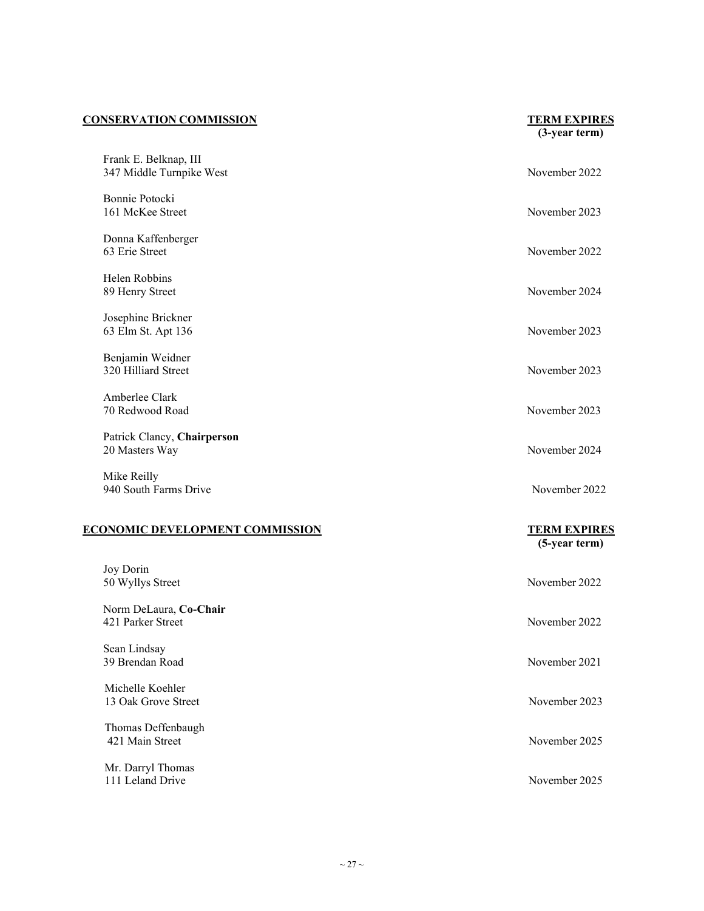#### **CONSERVATION COMMISSION TERM EXPIRES**

|                                                   | (5-year term)       |
|---------------------------------------------------|---------------------|
| <b>ECONOMIC DEVELOPMENT COMMISSION</b>            | <b>TERM EXPIRES</b> |
| 940 South Farms Drive                             | November 2022       |
| Mike Reilly                                       |                     |
| Patrick Clancy, Chairperson<br>20 Masters Way     | November 2024       |
| Amberlee Clark<br>70 Redwood Road                 | November 2023       |
| Benjamin Weidner<br>320 Hilliard Street           | November 2023       |
| Josephine Brickner<br>63 Elm St. Apt 136          | November 2023       |
| Helen Robbins<br>89 Henry Street                  | November 2024       |
| Donna Kaffenberger<br>63 Erie Street              | November 2022       |
| Bonnie Potocki<br>161 McKee Street                | November 2023       |
| Frank E. Belknap, III<br>347 Middle Turnpike West | November 2022       |

|                                             | $3-yca1$ ici iii) |
|---------------------------------------------|-------------------|
| Joy Dorin<br>50 Wyllys Street               | November 2022     |
| Norm DeLaura, Co-Chair<br>421 Parker Street | November 2022     |
| Sean Lindsay<br>39 Brendan Road             | November 2021     |
| Michelle Koehler<br>13 Oak Grove Street     | November 2023     |
| Thomas Deffenbaugh<br>421 Main Street       | November 2025     |
| Mr. Darryl Thomas<br>111 Leland Drive       | November 2025     |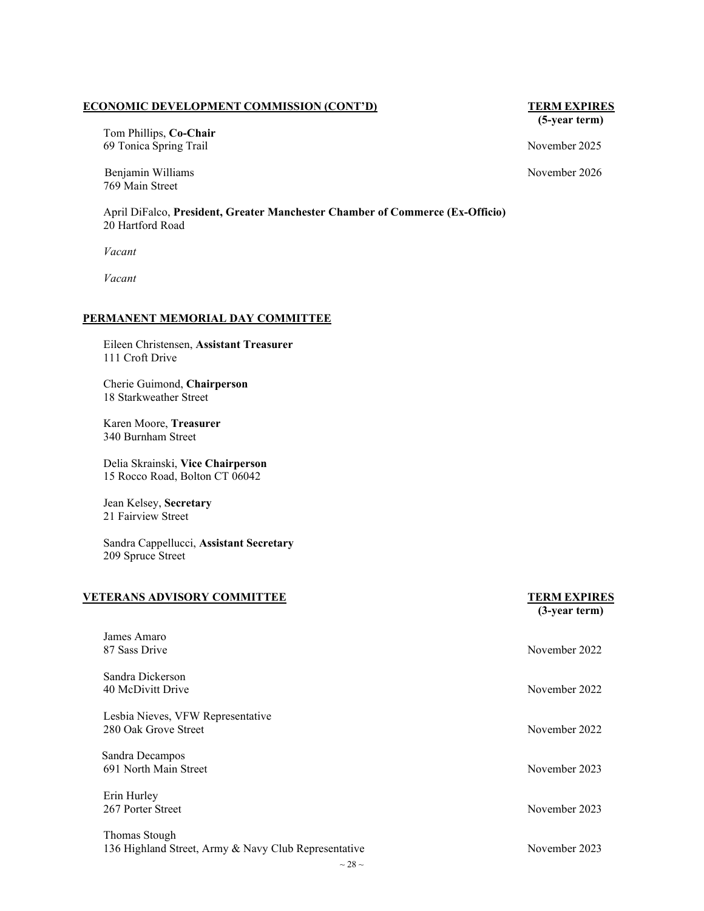#### **ECONOMIC DEVELOPMENT COMMISSION (CONT'D) TERM EXPIRES**

Tom Phillips, **Co-Chair** 69 Tonica Spring Trail November 2025

Benjamin Williams November 2026 769 Main Street

April DiFalco, **President, Greater Manchester Chamber of Commerce (Ex-Officio)** 20 Hartford Road

*Vacant*

*Vacant*

#### <span id="page-27-0"></span>**PERMANENT MEMORIAL DAY COMMITTEE**

Eileen Christensen, **Assistant Treasurer** 111 Croft Drive

Cherie Guimond, **Chairperson** 18 Starkweather Street

Karen Moore, **Treasurer** 340 Burnham Street

Delia Skrainski, **Vice Chairperson** 15 Rocco Road, Bolton CT 06042

Jean Kelsey, **Secretary** 21 Fairview Street

Sandra Cappellucci, **Assistant Secretary** 209 Spruce Street

#### **VETERANS ADVISORY COMMITTEE TERM EXPIRES**

# **(3-year term)**

| James Amaro                                          |               |
|------------------------------------------------------|---------------|
| 87 Sass Drive                                        | November 2022 |
| Sandra Dickerson                                     |               |
| 40 McDivitt Drive                                    | November 2022 |
| Lesbia Nieves, VFW Representative                    |               |
| 280 Oak Grove Street                                 | November 2022 |
| Sandra Decampos                                      |               |
| 691 North Main Street                                | November 2023 |
| Erin Hurley                                          |               |
| 267 Porter Street                                    | November 2023 |
| Thomas Stough                                        |               |
| 136 Highland Street, Army & Navy Club Representative | November 2023 |

**(5-year term)**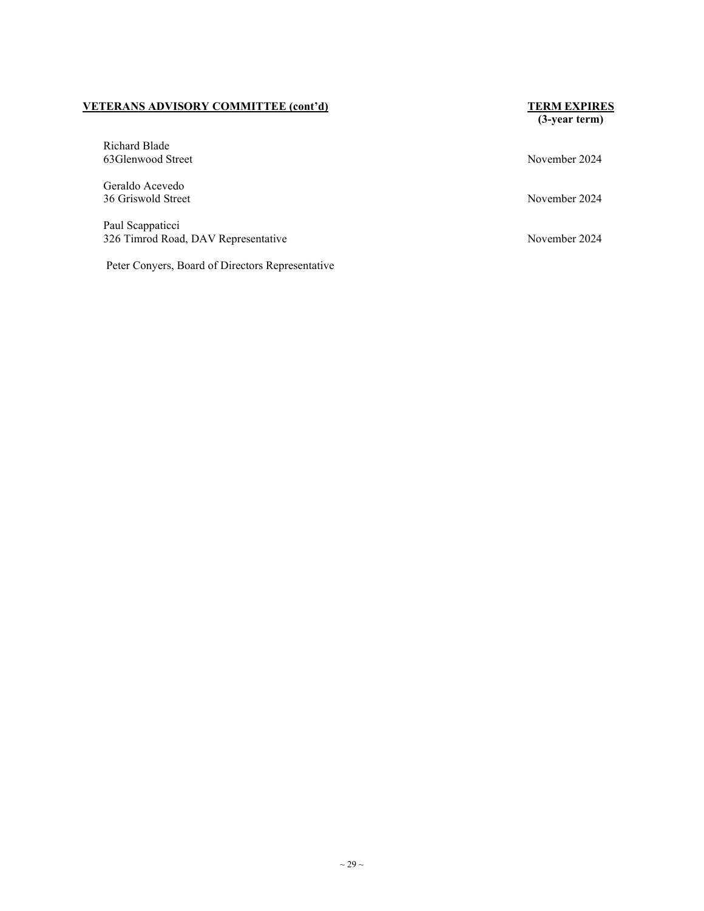#### **VETERANS ADVISORY COMMITTEE (cont'd) TERM EXPIRES**

#### Richard Blade 63Glenwood Street November 2024

Geraldo Acevedo 36 Griswold Street November 2024

Paul Scappaticci 326 Timrod Road, DAV Representative November 2024

Peter Conyers, Board of Directors Representative

**(3-year term)**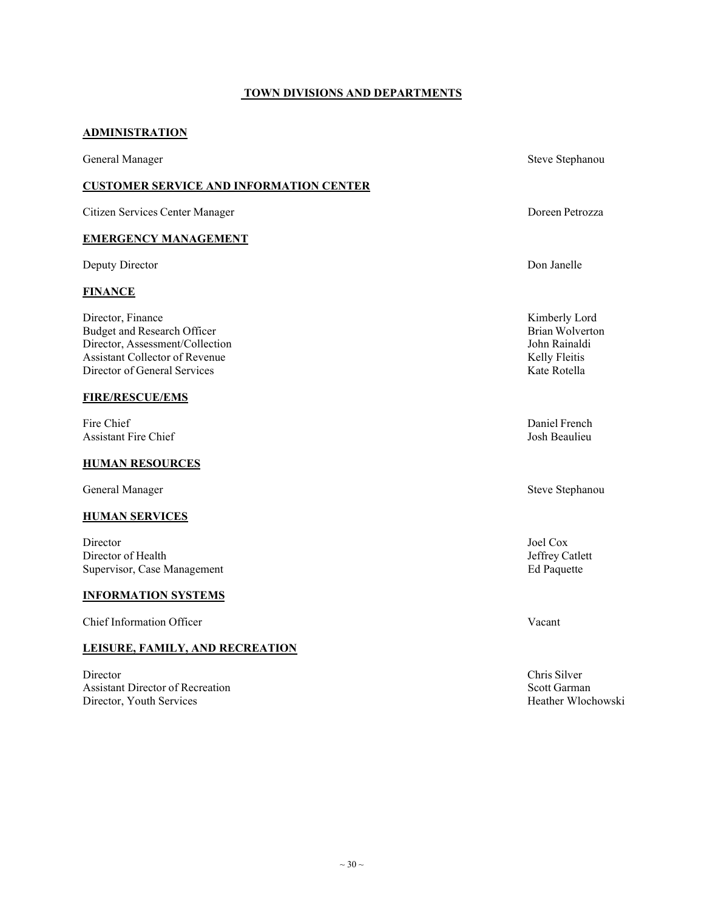#### **TOWN DIVISIONS AND DEPARTMENTS**

#### <span id="page-29-0"></span>**ADMINISTRATION**

General Manager Steve Stephanou and Steve Stephanou and Steve Stephanou and Steve Stephanou and Steve Stephanou

#### **CUSTOMER SERVICE AND INFORMATION CENTER**

Citizen Services Center Manager Doreen Petrozza

#### **EMERGENCY MANAGEMENT**

Deputy Director Don Janelle

#### **FINANCE**

Director, Finance Kimberly Lord<br>
Budget and Research Officer Sales and Research Officer Shape Rise and Research Officer Shape Rise and Research Budget and Research Officer and Execution and Execution and Execution and Execution and Execution and Brian Wolverton and Brian Wolverton and Brian Wolverton and Brian Wolverton and Brian Molverton and Brian Molverton and Director, Assessment/Collection John Rainald<br>
Assistant Collector of Revenue Kelly Fleitis Assistant Collector of Revenue Director of General Services **Kate Rotella** 

#### **FIRE/RESCUE/EMS**

Fire Chief Daniel French Assistant Fire Chief Josh Beaulieu

#### **HUMAN RESOURCES**

General Manager Steve Stephanou Steve Stephanou Steve Stephanou Steve Stephanou Steve Stephanou Steve Stephanou

#### **HUMAN SERVICES**

Director Joel Cox Director of Health Jeffrey Catlett<br>
Supervisor, Case Management Bd Paquette Burges and Bd Paquette Supervisor, Case Management

#### **INFORMATION SYSTEMS**

Chief Information Officer Vacant

#### **LEISURE, FAMILY, AND RECREATION**

Director Chris Silver Assistant Director of Recreation Scott Garman Scott Garman Director, Youth Services Heather Wlochowski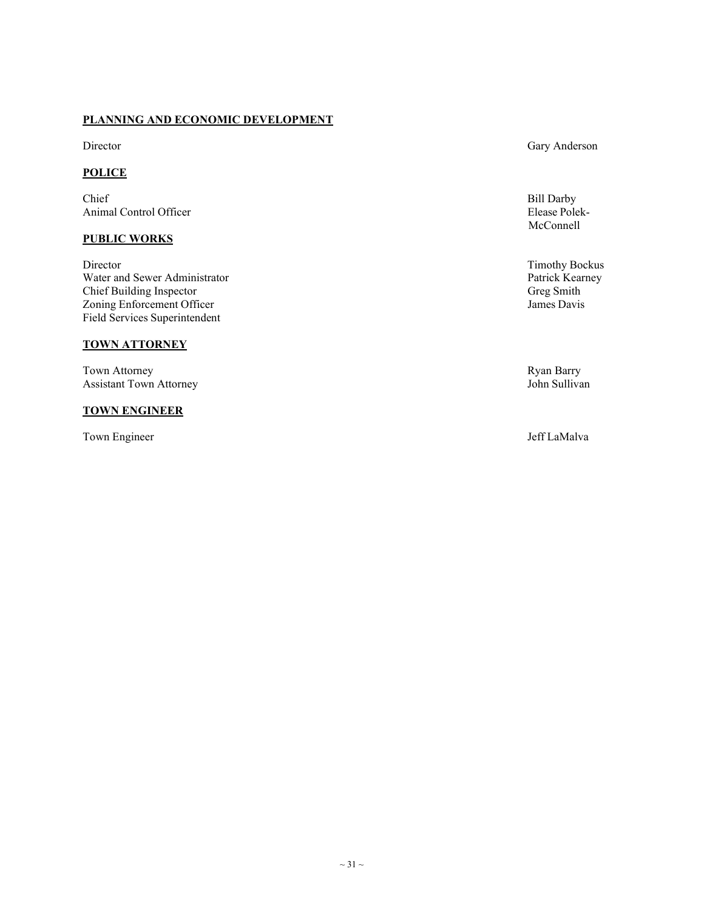#### **PLANNING AND ECONOMIC DEVELOPMENT**

#### **POLICE**

Chief Bill Darby and the Chief Bill Darby and the Chief Bill Darby and the Chief Bill Darby Animal Control Officer Elease Polek-

#### **PUBLIC WORKS**

Director Timothy Bockus<br>
Water and Sewer Administrator National Sewer Administrator National Sewer Administrator<br>
2011 - Patrick Kearney National Sewer Administrator Water and Sewer Administrator Patrick Kearney Patrick Kearney Patrick Kearney Patrick Kearney Patrick Kearney Patrick Kearney Patrick Kearney Patrick Kearney Patrick Kearney Patrick Kearney Patrick Kearney Patrick Kearney Chief Building Inspector Zoning Enforcement Officer Field Services Superintendent

#### **TOWN ATTORNEY**

Town Attorney Ryan Barry Assistant Town Attorney

#### **TOWN ENGINEER**

Town Engineer Jeff LaMalva

#### Director Gary Anderson

McConnell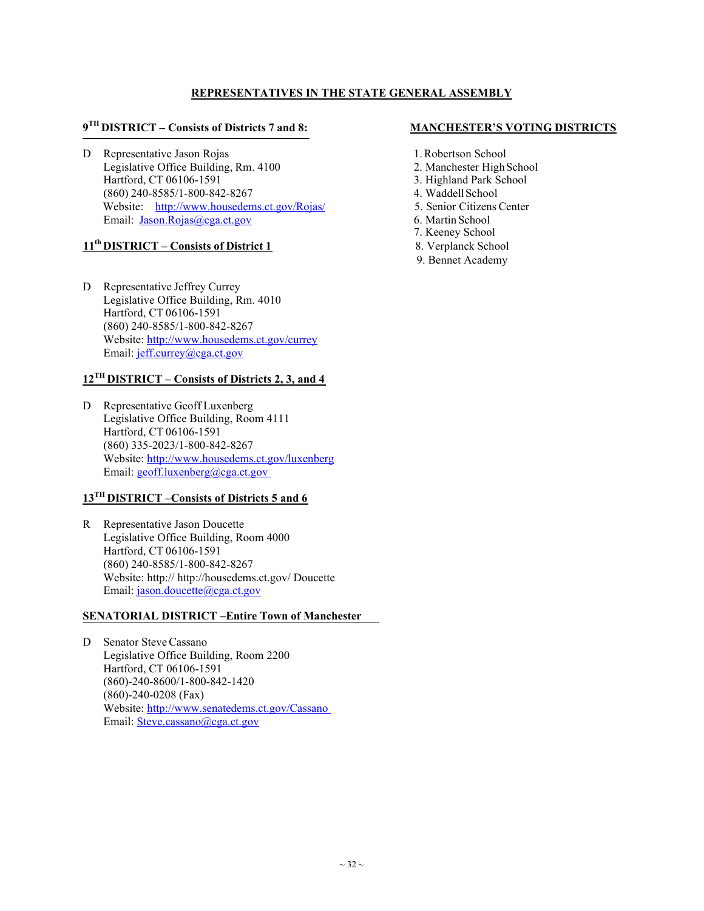#### **REPRESENTATIVES IN THE STATE GENERAL ASSEMBLY**

### **9TH DISTRICT – Consists of Districts 7 and 8: MANCHESTER'S VOTING DISTRICTS**

D Representative Jason Rojas 1.Robertson School Legislative Office Building, Rm. 4100 2. Manchester High School Hartford, CT 06106-1591 3. Highland Park School (860) 240-8585/1-800-842-8267 4. WaddellSchool Website: http://www.housedems.ct.gov/Rojas/ 5. Senior Citizens Center Email: Jason.Rojas@cga.ct.gov 6. Martin School

#### **11th DISTRICT – Consists of District 1** 8. Verplanck School

D Representative Jeffrey Currey Legislative Office Building, Rm. 4010 Hartford, CT 06106-1591 (860) 240-8585/1-800-842-8267 Website: http://www.housedems.ct.gov/currey Email: jeff.currey@cga.ct.gov

#### **12TH DISTRICT – Consists of Districts 2, 3, and 4**

D Representative Geoff Luxenberg Legislative Office Building, Room 4111 Hartford, CT 06106-1591 (860) 335-2023/1-800-842-8267 Website: http://www.housedems.ct.gov/luxenberg Email: geoff.luxenberg@cga.ct.gov

### **13TH DISTRICT –Consists of Districts 5 and 6**

R Representative Jason Doucette Legislative Office Building, Room 4000 Hartford, CT 06106-1591 (860) 240-8585/1-800-842-8267 Website: http:// http://housedems.ct.gov/ Doucette Email: jason.doucette@cga.ct.gov

#### **SENATORIAL DISTRICT –Entire Town of Manchester**

D Senator Steve Cassano Legislative Office Building, Room 2200 Hartford, CT 06106-1591 (860)-240-8600/1-800-842-1420 (860)-240-0208 (Fax) Website: http://www.senatedems.ct.gov/Cassano Email: Steve.cassano@cga.ct.gov

- 
- 
- 
- 
- 
- 
- 7. Keeney School
- 
- 9. Bennet Academy